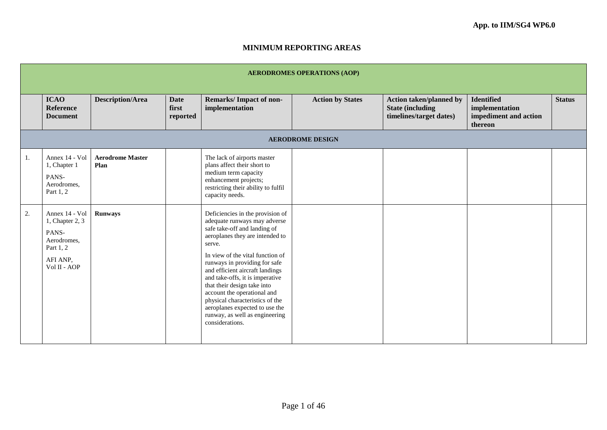## **MINIMUM REPORTING AREAS**

|    | <b>AERODROMES OPERATIONS (AOP)</b>                                                                 |                                 |                                  |                                                                                                                                                                                                                                                                                                                                                                                                                                                                                  |                         |                                                                                       |                                                                         |               |  |  |
|----|----------------------------------------------------------------------------------------------------|---------------------------------|----------------------------------|----------------------------------------------------------------------------------------------------------------------------------------------------------------------------------------------------------------------------------------------------------------------------------------------------------------------------------------------------------------------------------------------------------------------------------------------------------------------------------|-------------------------|---------------------------------------------------------------------------------------|-------------------------------------------------------------------------|---------------|--|--|
|    | <b>ICAO</b><br><b>Reference</b><br><b>Document</b>                                                 | <b>Description/Area</b>         | <b>Date</b><br>first<br>reported | Remarks/Impact of non-<br>implementation                                                                                                                                                                                                                                                                                                                                                                                                                                         | <b>Action by States</b> | <b>Action taken/planned by</b><br><b>State (including)</b><br>timelines/target dates) | <b>Identified</b><br>implementation<br>impediment and action<br>thereon | <b>Status</b> |  |  |
|    | <b>AERODROME DESIGN</b>                                                                            |                                 |                                  |                                                                                                                                                                                                                                                                                                                                                                                                                                                                                  |                         |                                                                                       |                                                                         |               |  |  |
| 1. | Annex 14 - Vol<br>1, Chapter 1<br>PANS-<br>Aerodromes,<br>Part 1, 2                                | <b>Aerodrome Master</b><br>Plan |                                  | The lack of airports master<br>plans affect their short to<br>medium term capacity<br>enhancement projects;<br>restricting their ability to fulfil<br>capacity needs.                                                                                                                                                                                                                                                                                                            |                         |                                                                                       |                                                                         |               |  |  |
| 2. | Annex 14 - Vol<br>1, Chapter 2, 3<br>PANS-<br>Aerodromes,<br>Part 1, 2<br>AFI ANP,<br>Vol II - AOP | <b>Runways</b>                  |                                  | Deficiencies in the provision of<br>adequate runways may adverse<br>safe take-off and landing of<br>aeroplanes they are intended to<br>serve.<br>In view of the vital function of<br>runways in providing for safe<br>and efficient aircraft landings<br>and take-offs, it is imperative<br>that their design take into<br>account the operational and<br>physical characteristics of the<br>aeroplanes expected to use the<br>runway, as well as engineering<br>considerations. |                         |                                                                                       |                                                                         |               |  |  |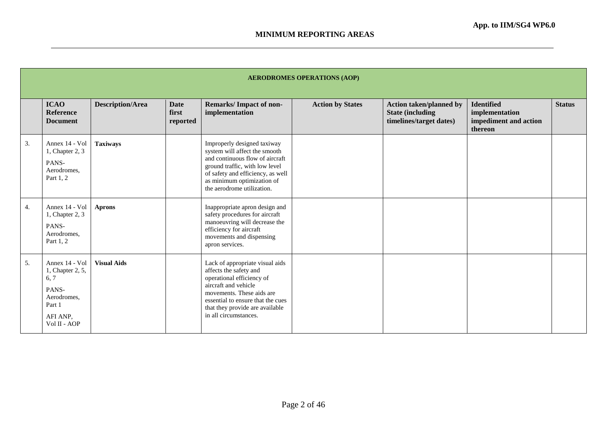|    | <b>AERODROMES OPERATIONS (AOP)</b>                                                                       |                         |                                  |                                                                                                                                                                                                                                              |                         |                                                                                       |                                                                         |               |  |  |
|----|----------------------------------------------------------------------------------------------------------|-------------------------|----------------------------------|----------------------------------------------------------------------------------------------------------------------------------------------------------------------------------------------------------------------------------------------|-------------------------|---------------------------------------------------------------------------------------|-------------------------------------------------------------------------|---------------|--|--|
|    | <b>ICAO</b><br><b>Reference</b><br><b>Document</b>                                                       | <b>Description/Area</b> | <b>Date</b><br>first<br>reported | <b>Remarks/Impact of non-</b><br>implementation                                                                                                                                                                                              | <b>Action by States</b> | <b>Action taken/planned by</b><br><b>State (including)</b><br>timelines/target dates) | <b>Identified</b><br>implementation<br>impediment and action<br>thereon | <b>Status</b> |  |  |
| 3. | Annex 14 - Vol<br>1, Chapter 2, 3<br>PANS-<br>Aerodromes,<br>Part 1, 2                                   | <b>Taxiways</b>         |                                  | Improperly designed taxiway<br>system will affect the smooth<br>and continuous flow of aircraft<br>ground traffic, with low level<br>of safety and efficiency, as well<br>as minimum optimization of<br>the aerodrome utilization.           |                         |                                                                                       |                                                                         |               |  |  |
| 4. | Annex 14 - Vol<br>1, Chapter 2, 3<br>PANS-<br>Aerodromes,<br>Part 1, 2                                   | <b>Aprons</b>           |                                  | Inappropriate apron design and<br>safety procedures for aircraft<br>manoeuvring will decrease the<br>efficiency for aircraft<br>movements and dispensing<br>apron services.                                                                  |                         |                                                                                       |                                                                         |               |  |  |
| 5. | Annex 14 - Vol<br>1, Chapter 2, 5,<br>6, 7<br>PANS-<br>Aerodromes,<br>Part 1<br>AFI ANP,<br>Vol II - AOP | <b>Visual Aids</b>      |                                  | Lack of appropriate visual aids<br>affects the safety and<br>operational efficiency of<br>aircraft and vehicle<br>movements. These aids are<br>essential to ensure that the cues<br>that they provide are available<br>in all circumstances. |                         |                                                                                       |                                                                         |               |  |  |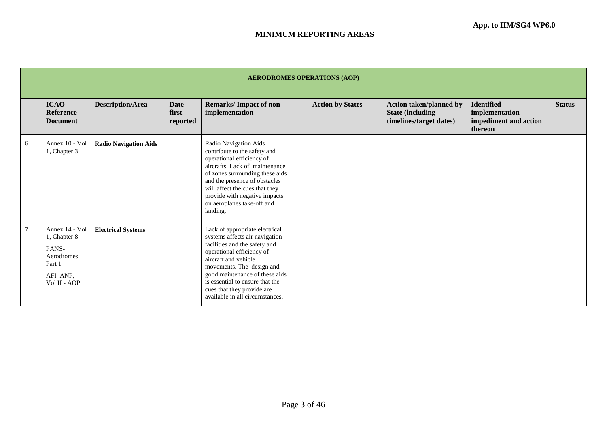|    | <b>AERODROMES OPERATIONS (AOP)</b>                                                           |                              |                                  |                                                                                                                                                                                                                                                                                                                           |                         |                                                                                       |                                                                         |               |  |  |
|----|----------------------------------------------------------------------------------------------|------------------------------|----------------------------------|---------------------------------------------------------------------------------------------------------------------------------------------------------------------------------------------------------------------------------------------------------------------------------------------------------------------------|-------------------------|---------------------------------------------------------------------------------------|-------------------------------------------------------------------------|---------------|--|--|
|    | <b>ICAO</b><br><b>Reference</b><br><b>Document</b>                                           | <b>Description/Area</b>      | <b>Date</b><br>first<br>reported | <b>Remarks/Impact of non-</b><br>implementation                                                                                                                                                                                                                                                                           | <b>Action by States</b> | <b>Action taken/planned by</b><br><b>State (including)</b><br>timelines/target dates) | <b>Identified</b><br>implementation<br>impediment and action<br>thereon | <b>Status</b> |  |  |
| 6. | Annex 10 - Vol<br>1, Chapter 3                                                               | <b>Radio Navigation Aids</b> |                                  | Radio Navigation Aids<br>contribute to the safety and<br>operational efficiency of<br>aircrafts. Lack of maintenance<br>of zones surrounding these aids<br>and the presence of obstacles<br>will affect the cues that they<br>provide with negative impacts<br>on aeroplanes take-off and<br>landing.                     |                         |                                                                                       |                                                                         |               |  |  |
| 7. | Annex 14 - Vol<br>1, Chapter 8<br>PANS-<br>Aerodromes,<br>Part 1<br>AFI ANP.<br>Vol II - AOP | <b>Electrical Systems</b>    |                                  | Lack of appropriate electrical<br>systems affects air navigation<br>facilities and the safety and<br>operational efficiency of<br>aircraft and vehicle<br>movements. The design and<br>good maintenance of these aids<br>is essential to ensure that the<br>cues that they provide are<br>available in all circumstances. |                         |                                                                                       |                                                                         |               |  |  |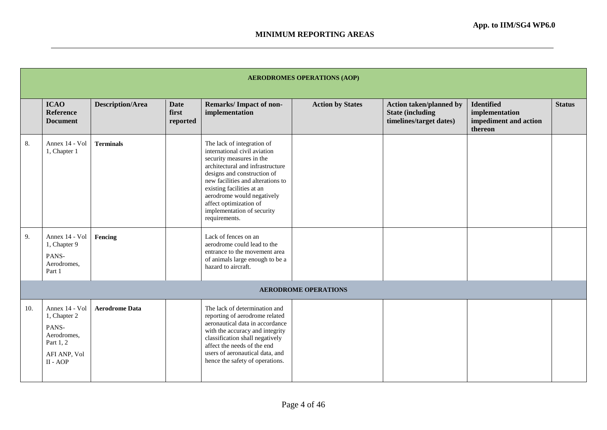|     | <b>AERODROMES OPERATIONS (AOP)</b>                                                                |                         |                                  |                                                                                                                                                                                                                                                                                                                                    |                             |                                                                                      |                                                                         |               |  |
|-----|---------------------------------------------------------------------------------------------------|-------------------------|----------------------------------|------------------------------------------------------------------------------------------------------------------------------------------------------------------------------------------------------------------------------------------------------------------------------------------------------------------------------------|-----------------------------|--------------------------------------------------------------------------------------|-------------------------------------------------------------------------|---------------|--|
|     | <b>ICAO</b><br><b>Reference</b><br><b>Document</b>                                                | <b>Description/Area</b> | <b>Date</b><br>first<br>reported | <b>Remarks/Impact of non-</b><br>implementation                                                                                                                                                                                                                                                                                    | <b>Action by States</b>     | <b>Action taken/planned by</b><br><b>State (including</b><br>timelines/target dates) | <b>Identified</b><br>implementation<br>impediment and action<br>thereon | <b>Status</b> |  |
| 8.  | Annex 14 - Vol<br>1, Chapter 1                                                                    | <b>Terminals</b>        |                                  | The lack of integration of<br>international civil aviation<br>security measures in the<br>architectural and infrastructure<br>designs and construction of<br>new facilities and alterations to<br>existing facilities at an<br>aerodrome would negatively<br>affect optimization of<br>implementation of security<br>requirements. |                             |                                                                                      |                                                                         |               |  |
| 9.  | Annex 14 - Vol<br>1, Chapter 9<br>PANS-<br>Aerodromes,<br>Part 1                                  | Fencing                 |                                  | Lack of fences on an<br>aerodrome could lead to the<br>entrance to the movement area<br>of animals large enough to be a<br>hazard to aircraft.                                                                                                                                                                                     |                             |                                                                                      |                                                                         |               |  |
|     |                                                                                                   |                         |                                  |                                                                                                                                                                                                                                                                                                                                    | <b>AERODROME OPERATIONS</b> |                                                                                      |                                                                         |               |  |
| 10. | Annex 14 - Vol<br>1, Chapter 2<br>PANS-<br>Aerodromes,<br>Part 1, 2<br>AFI ANP, Vol<br>$II - AOP$ | <b>Aerodrome Data</b>   |                                  | The lack of determination and<br>reporting of aerodrome related<br>aeronautical data in accordance<br>with the accuracy and integrity<br>classification shall negatively<br>affect the needs of the end<br>users of aeronautical data, and<br>hence the safety of operations.                                                      |                             |                                                                                      |                                                                         |               |  |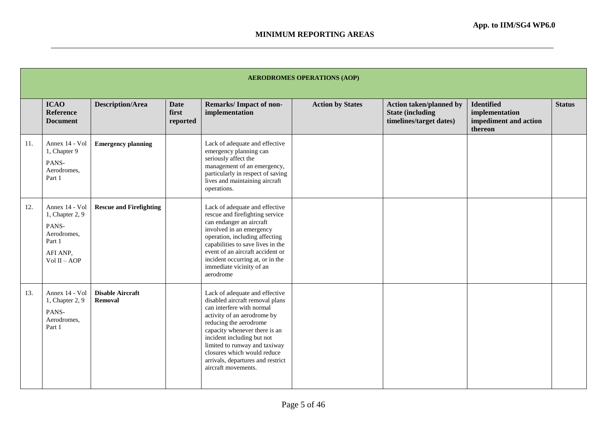|     | <b>AERODROMES OPERATIONS (AOP)</b>                                                                |                                    |                                  |                                                                                                                                                                                                                                                                                                                                                    |                         |                                                                                       |                                                                         |               |  |  |
|-----|---------------------------------------------------------------------------------------------------|------------------------------------|----------------------------------|----------------------------------------------------------------------------------------------------------------------------------------------------------------------------------------------------------------------------------------------------------------------------------------------------------------------------------------------------|-------------------------|---------------------------------------------------------------------------------------|-------------------------------------------------------------------------|---------------|--|--|
|     | <b>ICAO</b><br><b>Reference</b><br><b>Document</b>                                                | <b>Description/Area</b>            | <b>Date</b><br>first<br>reported | <b>Remarks/Impact of non-</b><br>implementation                                                                                                                                                                                                                                                                                                    | <b>Action by States</b> | <b>Action taken/planned by</b><br><b>State (including)</b><br>timelines/target dates) | <b>Identified</b><br>implementation<br>impediment and action<br>thereon | <b>Status</b> |  |  |
| 11. | Annex 14 - Vol<br>1, Chapter 9<br>PANS-<br>Aerodromes,<br>Part 1                                  | <b>Emergency planning</b>          |                                  | Lack of adequate and effective<br>emergency planning can<br>seriously affect the<br>management of an emergency,<br>particularly in respect of saving<br>lives and maintaining aircraft<br>operations.                                                                                                                                              |                         |                                                                                       |                                                                         |               |  |  |
| 12. | Annex 14 - Vol<br>1, Chapter 2, 9<br>PANS-<br>Aerodromes,<br>Part 1<br>AFI ANP,<br>$Vol II - AOP$ | <b>Rescue and Firefighting</b>     |                                  | Lack of adequate and effective<br>rescue and firefighting service<br>can endanger an aircraft<br>involved in an emergency<br>operation, including affecting<br>capabilities to save lives in the<br>event of an aircraft accident or<br>incident occurring at, or in the<br>immediate vicinity of an<br>aerodrome                                  |                         |                                                                                       |                                                                         |               |  |  |
| 13. | Annex 14 - Vol<br>1, Chapter 2, 9<br>PANS-<br>Aerodromes,<br>Part 1                               | <b>Disable Aircraft</b><br>Removal |                                  | Lack of adequate and effective<br>disabled aircraft removal plans<br>can interfere with normal<br>activity of an aerodrome by<br>reducing the aerodrome<br>capacity whenever there is an<br>incident including but not<br>limited to runway and taxiway<br>closures which would reduce<br>arrivals, departures and restrict<br>aircraft movements. |                         |                                                                                       |                                                                         |               |  |  |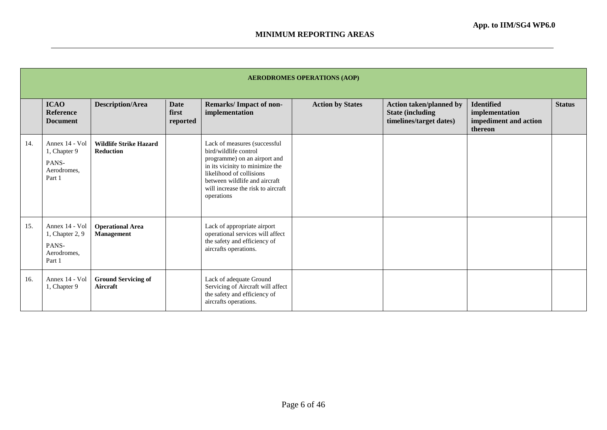|     | <b>AERODROMES OPERATIONS (AOP)</b>                                  |                                                   |                                  |                                                                                                                                                                                                                                           |                         |                                                                                       |                                                                         |               |  |  |
|-----|---------------------------------------------------------------------|---------------------------------------------------|----------------------------------|-------------------------------------------------------------------------------------------------------------------------------------------------------------------------------------------------------------------------------------------|-------------------------|---------------------------------------------------------------------------------------|-------------------------------------------------------------------------|---------------|--|--|
|     | <b>ICAO</b><br>Reference<br><b>Document</b>                         | <b>Description/Area</b>                           | <b>Date</b><br>first<br>reported | Remarks/Impact of non-<br>implementation                                                                                                                                                                                                  | <b>Action by States</b> | <b>Action taken/planned by</b><br><b>State (including)</b><br>timelines/target dates) | <b>Identified</b><br>implementation<br>impediment and action<br>thereon | <b>Status</b> |  |  |
| 14. | Annex 14 - Vol<br>1, Chapter 9<br>PANS-<br>Aerodromes,<br>Part 1    | <b>Wildlife Strike Hazard</b><br><b>Reduction</b> |                                  | Lack of measures (successful<br>bird/wildlife control<br>programme) on an airport and<br>in its vicinity to minimize the<br>likelihood of collisions<br>between wildlife and aircraft<br>will increase the risk to aircraft<br>operations |                         |                                                                                       |                                                                         |               |  |  |
| 15. | Annex 14 - Vol<br>1, Chapter 2, 9<br>PANS-<br>Aerodromes,<br>Part 1 | <b>Operational Area</b><br>Management             |                                  | Lack of appropriate airport<br>operational services will affect<br>the safety and efficiency of<br>aircrafts operations.                                                                                                                  |                         |                                                                                       |                                                                         |               |  |  |
| 16. | Annex 14 - Vol<br>1, Chapter 9                                      | <b>Ground Servicing of</b><br>Aircraft            |                                  | Lack of adequate Ground<br>Servicing of Aircraft will affect<br>the safety and efficiency of<br>aircrafts operations.                                                                                                                     |                         |                                                                                       |                                                                         |               |  |  |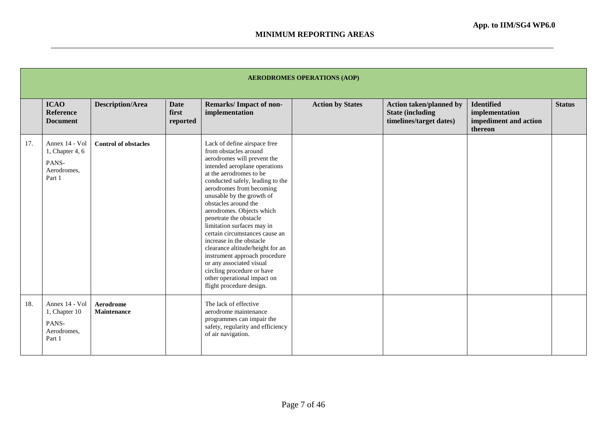|     | <b>AERODROMES OPERATIONS (AOP)</b>                                    |                                 |                                  |                                                                                                                                                                                                                                                                                                                                                                                                                                                                                                                                                                                                                    |                         |                                                                                       |                                                                         |               |  |  |  |
|-----|-----------------------------------------------------------------------|---------------------------------|----------------------------------|--------------------------------------------------------------------------------------------------------------------------------------------------------------------------------------------------------------------------------------------------------------------------------------------------------------------------------------------------------------------------------------------------------------------------------------------------------------------------------------------------------------------------------------------------------------------------------------------------------------------|-------------------------|---------------------------------------------------------------------------------------|-------------------------------------------------------------------------|---------------|--|--|--|
|     | <b>ICAO</b><br><b>Reference</b><br><b>Document</b>                    | <b>Description/Area</b>         | <b>Date</b><br>first<br>reported | <b>Remarks/Impact of non-</b><br>implementation                                                                                                                                                                                                                                                                                                                                                                                                                                                                                                                                                                    | <b>Action by States</b> | <b>Action taken/planned by</b><br><b>State (including)</b><br>timelines/target dates) | <b>Identified</b><br>implementation<br>impediment and action<br>thereon | <b>Status</b> |  |  |  |
| 17. | Annex 14 - Vol<br>1, Chapter 4, $6$<br>PANS-<br>Aerodromes.<br>Part 1 | <b>Control of obstacles</b>     |                                  | Lack of define airspace free<br>from obstacles around<br>aerodromes will prevent the<br>intended aeroplane operations<br>at the aerodromes to be<br>conducted safely, leading to the<br>aerodromes from becoming<br>unusable by the growth of<br>obstacles around the<br>aerodromes. Objects which<br>penetrate the obstacle<br>limitation surfaces may in<br>certain circumstances cause an<br>increase in the obstacle<br>clearance altitude/height for an<br>instrument approach procedure<br>or any associated visual<br>circling procedure or have<br>other operational impact on<br>flight procedure design. |                         |                                                                                       |                                                                         |               |  |  |  |
| 18. | Annex 14 - Vol<br>1, Chapter 10<br>PANS-<br>Aerodromes.<br>Part 1     | Aerodrome<br><b>Maintenance</b> |                                  | The lack of effective<br>aerodrome maintenance<br>programmes can impair the<br>safety, regularity and efficiency<br>of air navigation.                                                                                                                                                                                                                                                                                                                                                                                                                                                                             |                         |                                                                                       |                                                                         |               |  |  |  |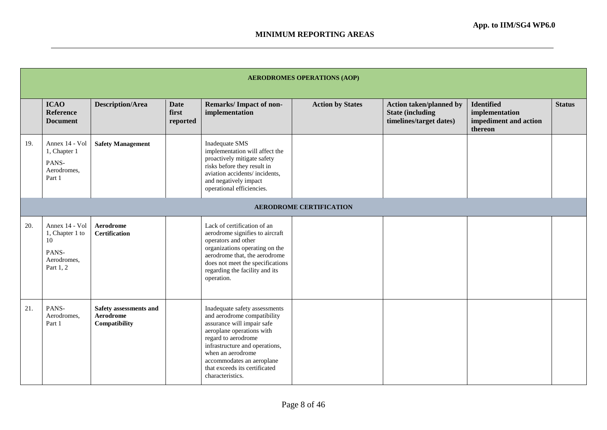|     | <b>AERODROMES OPERATIONS (AOP)</b>                                           |                                                      |                                  |                                                                                                                                                                                                                                                                                         |                         |                                                                                      |                                                                         |               |  |  |  |
|-----|------------------------------------------------------------------------------|------------------------------------------------------|----------------------------------|-----------------------------------------------------------------------------------------------------------------------------------------------------------------------------------------------------------------------------------------------------------------------------------------|-------------------------|--------------------------------------------------------------------------------------|-------------------------------------------------------------------------|---------------|--|--|--|
|     | <b>ICAO</b><br><b>Reference</b><br><b>Document</b>                           | <b>Description/Area</b>                              | <b>Date</b><br>first<br>reported | <b>Remarks/Impact of non-</b><br>implementation                                                                                                                                                                                                                                         | <b>Action by States</b> | <b>Action taken/planned by</b><br><b>State (including</b><br>timelines/target dates) | <b>Identified</b><br>implementation<br>impediment and action<br>thereon | <b>Status</b> |  |  |  |
| 19. | Annex 14 - Vol<br>1, Chapter 1<br>PANS-<br>Aerodromes,<br>Part 1             | <b>Safety Management</b>                             |                                  | Inadequate SMS<br>implementation will affect the<br>proactively mitigate safety<br>risks before they result in<br>aviation accidents/incidents,<br>and negatively impact<br>operational efficiencies.                                                                                   |                         |                                                                                      |                                                                         |               |  |  |  |
|     | <b>AERODROME CERTIFICATION</b>                                               |                                                      |                                  |                                                                                                                                                                                                                                                                                         |                         |                                                                                      |                                                                         |               |  |  |  |
| 20. | Annex 14 - Vol<br>1, Chapter 1 to<br>10<br>PANS-<br>Aerodromes,<br>Part 1, 2 | <b>Aerodrome</b><br><b>Certification</b>             |                                  | Lack of certification of an<br>aerodrome signifies to aircraft<br>operators and other<br>organizations operating on the<br>aerodrome that, the aerodrome<br>does not meet the specifications<br>regarding the facility and its<br>operation.                                            |                         |                                                                                      |                                                                         |               |  |  |  |
| 21. | PANS-<br>Aerodromes,<br>Part 1                                               | Safety assessments and<br>Aerodrome<br>Compatibility |                                  | Inadequate safety assessments<br>and aerodrome compatibility<br>assurance will impair safe<br>aeroplane operations with<br>regard to aerodrome<br>infrastructure and operations,<br>when an aerodrome<br>accommodates an aeroplane<br>that exceeds its certificated<br>characteristics. |                         |                                                                                      |                                                                         |               |  |  |  |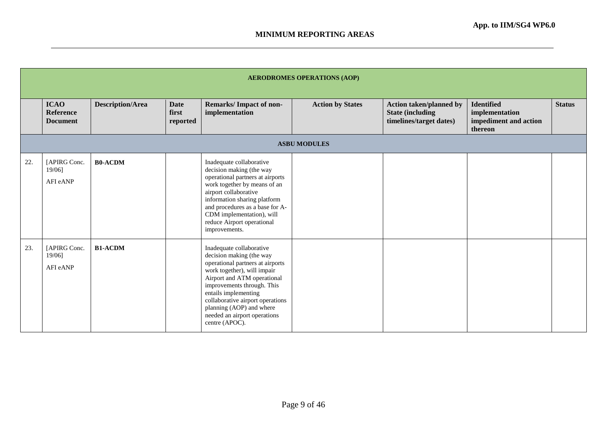|     |                                                    |                         |                                  |                                                                                                                                                                                                                                                                                                                                | <b>AERODROMES OPERATIONS (AOP)</b> |                                                                                       |                                                                         |               |
|-----|----------------------------------------------------|-------------------------|----------------------------------|--------------------------------------------------------------------------------------------------------------------------------------------------------------------------------------------------------------------------------------------------------------------------------------------------------------------------------|------------------------------------|---------------------------------------------------------------------------------------|-------------------------------------------------------------------------|---------------|
|     | <b>ICAO</b><br><b>Reference</b><br><b>Document</b> | <b>Description/Area</b> | <b>Date</b><br>first<br>reported | Remarks/Impact of non-<br>implementation                                                                                                                                                                                                                                                                                       | <b>Action by States</b>            | <b>Action taken/planned by</b><br><b>State (including)</b><br>timelines/target dates) | <b>Identified</b><br>implementation<br>impediment and action<br>thereon | <b>Status</b> |
|     |                                                    |                         |                                  |                                                                                                                                                                                                                                                                                                                                | <b>ASBU MODULES</b>                |                                                                                       |                                                                         |               |
| 22. | [APIRG Conc.<br>$19/06$ ]<br>AFI eANP              | <b>B0-ACDM</b>          |                                  | Inadequate collaborative<br>decision making (the way<br>operational partners at airports<br>work together by means of an<br>airport collaborative<br>information sharing platform<br>and procedures as a base for A-<br>CDM implementation), will<br>reduce Airport operational<br>improvements.                               |                                    |                                                                                       |                                                                         |               |
| 23. | [APIRG Conc.<br>19/06]<br>AFI eANP                 | <b>B1-ACDM</b>          |                                  | Inadequate collaborative<br>decision making (the way<br>operational partners at airports<br>work together), will impair<br>Airport and ATM operational<br>improvements through. This<br>entails implementing<br>collaborative airport operations<br>planning (AOP) and where<br>needed an airport operations<br>centre (APOC). |                                    |                                                                                       |                                                                         |               |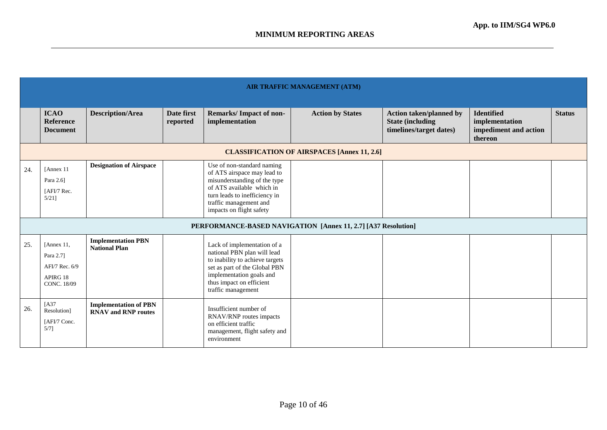|     | AIR TRAFFIC MANAGEMENT (ATM)                                                |                                                            |                        |                                                                                                                                                                                                               |                                                               |                                                                                       |                                                                         |               |  |  |  |
|-----|-----------------------------------------------------------------------------|------------------------------------------------------------|------------------------|---------------------------------------------------------------------------------------------------------------------------------------------------------------------------------------------------------------|---------------------------------------------------------------|---------------------------------------------------------------------------------------|-------------------------------------------------------------------------|---------------|--|--|--|
|     | <b>ICAO</b><br>Reference<br><b>Document</b>                                 | <b>Description/Area</b>                                    | Date first<br>reported | <b>Remarks/Impact of non-</b><br>implementation                                                                                                                                                               | <b>Action by States</b>                                       | <b>Action taken/planned by</b><br><b>State (including)</b><br>timelines/target dates) | <b>Identified</b><br>implementation<br>impediment and action<br>thereon | <b>Status</b> |  |  |  |
|     |                                                                             |                                                            |                        |                                                                                                                                                                                                               | <b>CLASSIFICATION OF AIRSPACES [Annex 11, 2.6]</b>            |                                                                                       |                                                                         |               |  |  |  |
| 24. | [Annex 11<br>Para 2.6]<br>[AFI/7 Rec.<br>$5/21$ ]                           | <b>Designation of Airspace</b>                             |                        | Use of non-standard naming<br>of ATS airspace may lead to<br>misunderstanding of the type<br>of ATS available which in<br>turn leads to inefficiency in<br>traffic management and<br>impacts on flight safety |                                                               |                                                                                       |                                                                         |               |  |  |  |
|     |                                                                             |                                                            |                        |                                                                                                                                                                                                               | PERFORMANCE-BASED NAVIGATION [Annex 11, 2.7] [A37 Resolution] |                                                                                       |                                                                         |               |  |  |  |
| 25. | [Annex 11,<br>Para 2.7]<br>AFI/7 Rec. 6/9<br>APIRG 18<br><b>CONC. 18/09</b> | <b>Implementation PBN</b><br><b>National Plan</b>          |                        | Lack of implementation of a<br>national PBN plan will lead<br>to inability to achieve targets<br>set as part of the Global PBN<br>implementation goals and<br>thus impact on efficient<br>traffic management  |                                                               |                                                                                       |                                                                         |               |  |  |  |
| 26. | [A37]<br>Resolution]<br>[AFI/7 Conc.<br>5/71                                | <b>Implementation of PBN</b><br><b>RNAV</b> and RNP routes |                        | Insufficient number of<br>RNAV/RNP routes impacts<br>on efficient traffic<br>management, flight safety and<br>environment                                                                                     |                                                               |                                                                                       |                                                                         |               |  |  |  |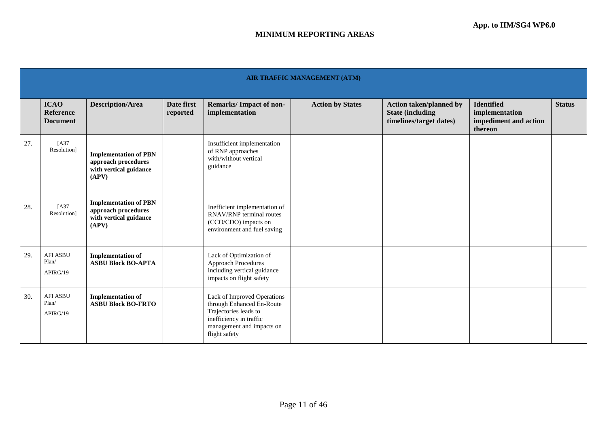|     | AIR TRAFFIC MANAGEMENT (ATM)                       |                                                                                        |                        |                                                                                                                                                            |                         |                                                                                      |                                                                         |               |  |  |  |
|-----|----------------------------------------------------|----------------------------------------------------------------------------------------|------------------------|------------------------------------------------------------------------------------------------------------------------------------------------------------|-------------------------|--------------------------------------------------------------------------------------|-------------------------------------------------------------------------|---------------|--|--|--|
|     | <b>ICAO</b><br><b>Reference</b><br><b>Document</b> | <b>Description/Area</b>                                                                | Date first<br>reported | Remarks/Impact of non-<br>implementation                                                                                                                   | <b>Action by States</b> | <b>Action taken/planned by</b><br><b>State (including</b><br>timelines/target dates) | <b>Identified</b><br>implementation<br>impediment and action<br>thereon | <b>Status</b> |  |  |  |
| 27. | [A37<br>Resolution]                                | <b>Implementation of PBN</b><br>approach procedures<br>with vertical guidance<br>(APV) |                        | Insufficient implementation<br>of RNP approaches<br>with/without vertical<br>guidance                                                                      |                         |                                                                                      |                                                                         |               |  |  |  |
| 28. | [A37<br>Resolution]                                | <b>Implementation of PBN</b><br>approach procedures<br>with vertical guidance<br>(APV) |                        | Inefficient implementation of<br>RNAV/RNP terminal routes<br>(CCO/CDO) impacts on<br>environment and fuel saving                                           |                         |                                                                                      |                                                                         |               |  |  |  |
| 29. | <b>AFI ASBU</b><br>Plan/<br>APIRG/19               | <b>Implementation of</b><br><b>ASBU Block BO-APTA</b>                                  |                        | Lack of Optimization of<br><b>Approach Procedures</b><br>including vertical guidance<br>impacts on flight safety                                           |                         |                                                                                      |                                                                         |               |  |  |  |
| 30. | <b>AFI ASBU</b><br>Plan/<br>APIRG/19               | <b>Implementation of</b><br><b>ASBU Block BO-FRTO</b>                                  |                        | Lack of Improved Operations<br>through Enhanced En-Route<br>Trajectories leads to<br>inefficiency in traffic<br>management and impacts on<br>flight safety |                         |                                                                                      |                                                                         |               |  |  |  |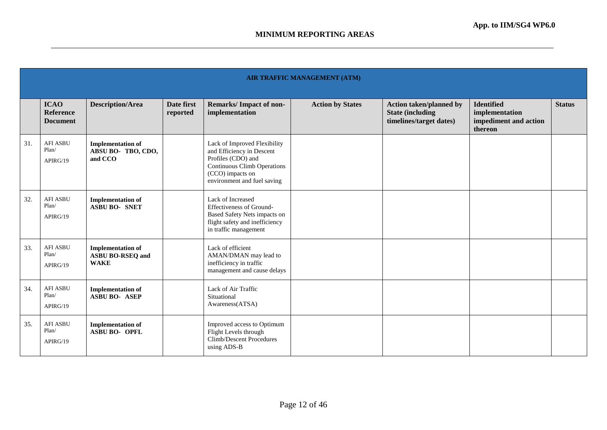|     | AIR TRAFFIC MANAGEMENT (ATM)                       |                                                                    |                        |                                                                                                                                                                   |                         |                                                                                      |                                                                         |               |  |  |  |
|-----|----------------------------------------------------|--------------------------------------------------------------------|------------------------|-------------------------------------------------------------------------------------------------------------------------------------------------------------------|-------------------------|--------------------------------------------------------------------------------------|-------------------------------------------------------------------------|---------------|--|--|--|
|     | <b>ICAO</b><br><b>Reference</b><br><b>Document</b> | <b>Description/Area</b>                                            | Date first<br>reported | <b>Remarks/Impact of non-</b><br>implementation                                                                                                                   | <b>Action by States</b> | <b>Action taken/planned by</b><br><b>State (including</b><br>timelines/target dates) | <b>Identified</b><br>implementation<br>impediment and action<br>thereon | <b>Status</b> |  |  |  |
| 31. | <b>AFI ASBU</b><br>Plan/<br>APIRG/19               | <b>Implementation of</b><br>ABSU BO- TBO, CDO,<br>and CCO          |                        | Lack of Improved Flexibility<br>and Efficiency in Descent<br>Profiles (CDO) and<br>Continuous Climb Operations<br>(CCO) impacts on<br>environment and fuel saving |                         |                                                                                      |                                                                         |               |  |  |  |
| 32. | <b>AFI ASBU</b><br>Plan/<br>APIRG/19               | <b>Implementation of</b><br><b>ASBU BO- SNET</b>                   |                        | Lack of Increased<br><b>Effectiveness of Ground-</b><br>Based Safety Nets impacts on<br>flight safety and inefficiency<br>in traffic management                   |                         |                                                                                      |                                                                         |               |  |  |  |
| 33. | <b>AFI ASBU</b><br>Plan/<br>APIRG/19               | <b>Implementation of</b><br><b>ASBU BO-RSEQ and</b><br><b>WAKE</b> |                        | Lack of efficient<br>AMAN/DMAN may lead to<br>inefficiency in traffic<br>management and cause delays                                                              |                         |                                                                                      |                                                                         |               |  |  |  |
| 34. | <b>AFI ASBU</b><br>Plan/<br>APIRG/19               | <b>Implementation of</b><br><b>ASBU BO- ASEP</b>                   |                        | Lack of Air Traffic<br>Situational<br>Awareness(ATSA)                                                                                                             |                         |                                                                                      |                                                                         |               |  |  |  |
| 35. | <b>AFI ASBU</b><br>Plan/<br>APIRG/19               | <b>Implementation of</b><br><b>ASBU BO- OPFL</b>                   |                        | Improved access to Optimum<br>Flight Levels through<br>Climb/Descent Procedures<br>using ADS-B                                                                    |                         |                                                                                      |                                                                         |               |  |  |  |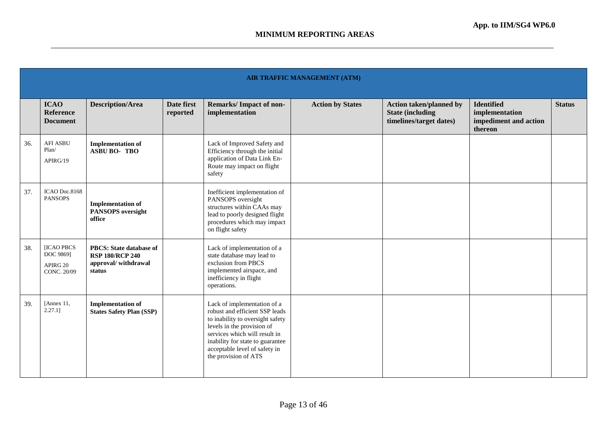|     | <b>AIR TRAFFIC MANAGEMENT (ATM)</b>                |                                                                                           |                        |                                                                                                                                                                                                                                                               |                         |                                                                                       |                                                                         |               |  |  |
|-----|----------------------------------------------------|-------------------------------------------------------------------------------------------|------------------------|---------------------------------------------------------------------------------------------------------------------------------------------------------------------------------------------------------------------------------------------------------------|-------------------------|---------------------------------------------------------------------------------------|-------------------------------------------------------------------------|---------------|--|--|
|     | <b>ICAO</b><br><b>Reference</b><br><b>Document</b> | <b>Description/Area</b>                                                                   | Date first<br>reported | <b>Remarks/Impact of non-</b><br>implementation                                                                                                                                                                                                               | <b>Action by States</b> | <b>Action taken/planned by</b><br><b>State (including)</b><br>timelines/target dates) | <b>Identified</b><br>implementation<br>impediment and action<br>thereon | <b>Status</b> |  |  |
| 36. | <b>AFI ASBU</b><br>Plan/<br>APIRG/19               | <b>Implementation of</b><br><b>ASBU BO-TBO</b>                                            |                        | Lack of Improved Safety and<br>Efficiency through the initial<br>application of Data Link En-<br>Route may impact on flight<br>safety                                                                                                                         |                         |                                                                                       |                                                                         |               |  |  |
| 37. | ICAO Doc.8168<br><b>PANSOPS</b>                    | <b>Implementation of</b><br><b>PANSOPS</b> oversight<br>office                            |                        | Inefficient implementation of<br>PANSOPS oversight<br>structures within CAAs may<br>lead to poorly designed flight<br>procedures which may impact<br>on flight safety                                                                                         |                         |                                                                                       |                                                                         |               |  |  |
| 38. | [ICAO PBCS<br>DOC 9869]<br>APIRG 20<br>CONC. 20/09 | <b>PBCS: State database of</b><br><b>RSP 180/RCP 240</b><br>approval/withdrawal<br>status |                        | Lack of implementation of a<br>state database may lead to<br>exclusion from PBCS<br>implemented airspace, and<br>inefficiency in flight<br>operations.                                                                                                        |                         |                                                                                       |                                                                         |               |  |  |
| 39. | [Annex 11,<br>$2.27.1$ ]                           | <b>Implementation of</b><br><b>States Safety Plan (SSP)</b>                               |                        | Lack of implementation of a<br>robust and efficient SSP leads<br>to inability to oversight safety<br>levels in the provision of<br>services which will result in<br>inability for state to guarantee<br>acceptable level of safety in<br>the provision of ATS |                         |                                                                                       |                                                                         |               |  |  |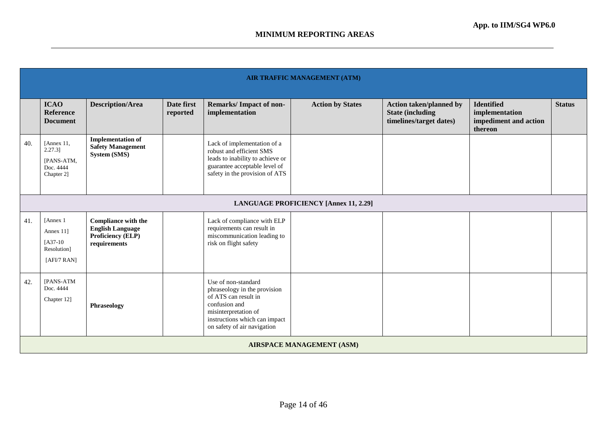|     | <b>AIR TRAFFIC MANAGEMENT (ATM)</b>                                  |                                                                                                   |                        |                                                                                                                                                                                      |                         |                                                                                       |                                                                         |               |  |  |  |
|-----|----------------------------------------------------------------------|---------------------------------------------------------------------------------------------------|------------------------|--------------------------------------------------------------------------------------------------------------------------------------------------------------------------------------|-------------------------|---------------------------------------------------------------------------------------|-------------------------------------------------------------------------|---------------|--|--|--|
|     | <b>ICAO</b><br><b>Reference</b><br><b>Document</b>                   | <b>Description/Area</b>                                                                           | Date first<br>reported | <b>Remarks/Impact of non-</b><br>implementation                                                                                                                                      | <b>Action by States</b> | <b>Action taken/planned by</b><br><b>State (including)</b><br>timelines/target dates) | <b>Identified</b><br>implementation<br>impediment and action<br>thereon | <b>Status</b> |  |  |  |
| 40. | [Annex $11$ ,<br>$2.27.3$ ]<br>[PANS-ATM,<br>Doc. 4444<br>Chapter 2] | <b>Implementation of</b><br><b>Safety Management</b><br><b>System (SMS)</b>                       |                        | Lack of implementation of a<br>robust and efficient SMS<br>leads to inability to achieve or<br>guarantee acceptable level of<br>safety in the provision of ATS                       |                         |                                                                                       |                                                                         |               |  |  |  |
|     | <b>LANGUAGE PROFICIENCY [Annex 11, 2.29]</b>                         |                                                                                                   |                        |                                                                                                                                                                                      |                         |                                                                                       |                                                                         |               |  |  |  |
| 41. | [Annex 1]<br>Annex 11]<br>$[A37-10$<br>Resolution]<br>[AFI/7 RAN]    | <b>Compliance with the</b><br><b>English Language</b><br><b>Proficiency (ELP)</b><br>requirements |                        | Lack of compliance with ELP<br>requirements can result in<br>miscommunication leading to<br>risk on flight safety                                                                    |                         |                                                                                       |                                                                         |               |  |  |  |
| 42. | [PANS-ATM<br>Doc. 4444<br>Chapter 12]                                | <b>Phraseology</b>                                                                                |                        | Use of non-standard<br>phraseology in the provision<br>of ATS can result in<br>confusion and<br>misinterpretation of<br>instructions which can impact<br>on safety of air navigation |                         |                                                                                       |                                                                         |               |  |  |  |
|     | <b>AIRSPACE MANAGEMENT (ASM)</b>                                     |                                                                                                   |                        |                                                                                                                                                                                      |                         |                                                                                       |                                                                         |               |  |  |  |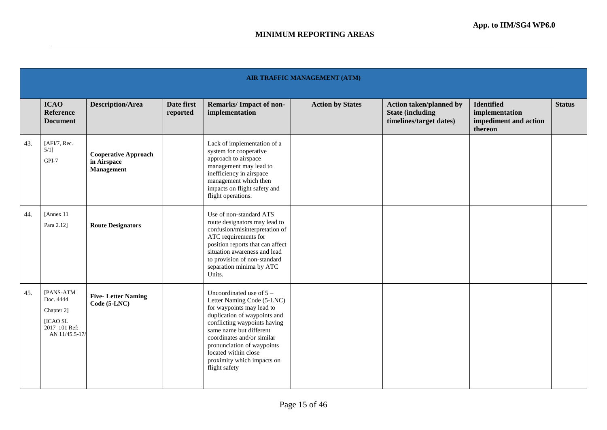|     |                                                                                     | <b>AIR TRAFFIC MANAGEMENT (ATM)</b>                             |                        |                                                                                                                                                                                                                                                                                                                     |                         |                                                                                       |                                                                         |               |  |  |  |
|-----|-------------------------------------------------------------------------------------|-----------------------------------------------------------------|------------------------|---------------------------------------------------------------------------------------------------------------------------------------------------------------------------------------------------------------------------------------------------------------------------------------------------------------------|-------------------------|---------------------------------------------------------------------------------------|-------------------------------------------------------------------------|---------------|--|--|--|
|     | <b>ICAO</b><br><b>Reference</b><br><b>Document</b>                                  | <b>Description/Area</b>                                         | Date first<br>reported | <b>Remarks/Impact of non-</b><br>implementation                                                                                                                                                                                                                                                                     | <b>Action by States</b> | <b>Action taken/planned by</b><br><b>State (including)</b><br>timelines/target dates) | <b>Identified</b><br>implementation<br>impediment and action<br>thereon | <b>Status</b> |  |  |  |
| 43. | [AFI/7, Rec.<br>$5/1$ ]<br>GPI-7                                                    | <b>Cooperative Approach</b><br>in Airspace<br><b>Management</b> |                        | Lack of implementation of a<br>system for cooperative<br>approach to airspace<br>management may lead to<br>inefficiency in airspace<br>management which then<br>impacts on flight safety and<br>flight operations.                                                                                                  |                         |                                                                                       |                                                                         |               |  |  |  |
| 44. | [Annex 11<br>Para 2.12]                                                             | <b>Route Designators</b>                                        |                        | Use of non-standard ATS<br>route designators may lead to<br>confusion/misinterpretation of<br>ATC requirements for<br>position reports that can affect<br>situation awareness and lead<br>to provision of non-standard<br>separation minima by ATC<br>Units.                                                        |                         |                                                                                       |                                                                         |               |  |  |  |
| 45. | [PANS-ATM<br>Doc. 4444<br>Chapter 2]<br>[ICAO SL<br>2017_101 Ref:<br>AN 11/45.5-17/ | <b>Five-Letter Naming</b><br>Code (5-LNC)                       |                        | Uncoordinated use of $5 -$<br>Letter Naming Code (5-LNC)<br>for waypoints may lead to<br>duplication of waypoints and<br>conflicting waypoints having<br>same name but different<br>coordinates and/or similar<br>pronunciation of waypoints<br>located within close<br>proximity which impacts on<br>flight safety |                         |                                                                                       |                                                                         |               |  |  |  |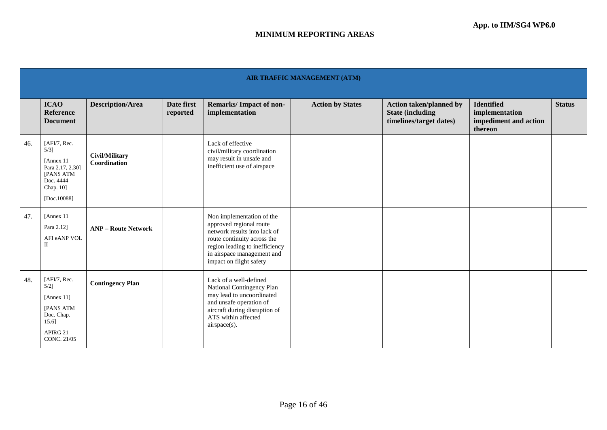|     | AIR TRAFFIC MANAGEMENT (ATM)                                                                                 |                                |                        |                                                                                                                                                                                                                |                         |                                                                                       |                                                                         |               |  |  |  |
|-----|--------------------------------------------------------------------------------------------------------------|--------------------------------|------------------------|----------------------------------------------------------------------------------------------------------------------------------------------------------------------------------------------------------------|-------------------------|---------------------------------------------------------------------------------------|-------------------------------------------------------------------------|---------------|--|--|--|
|     | <b>ICAO</b><br>Reference<br><b>Document</b>                                                                  | <b>Description/Area</b>        | Date first<br>reported | <b>Remarks/Impact of non-</b><br>implementation                                                                                                                                                                | <b>Action by States</b> | <b>Action taken/planned by</b><br><b>State (including)</b><br>timelines/target dates) | <b>Identified</b><br>implementation<br>impediment and action<br>thereon | <b>Status</b> |  |  |  |
| 46. | [AFI/7, Rec.<br>5/31<br>[Annex 11]<br>Para 2.17, 2.30]<br>[PANS ATM<br>Doc. 4444<br>Chap. 10]<br>[Doc.10088] | Civil/Military<br>Coordination |                        | Lack of effective<br>civil/military coordination<br>may result in unsafe and<br>inefficient use of airspace                                                                                                    |                         |                                                                                       |                                                                         |               |  |  |  |
| 47. | [Annex 11]<br>Para 2.12]<br>AFI eANP VOL<br>$\mathbf{I}$                                                     | <b>ANP</b> – Route Network     |                        | Non implementation of the<br>approved regional route<br>network results into lack of<br>route continuity across the<br>region leading to inefficiency<br>in airspace management and<br>impact on flight safety |                         |                                                                                       |                                                                         |               |  |  |  |
| 48. | [AFI/7, Rec.<br>5/21<br>[Annex 11]<br><b>[PANS ATM</b><br>Doc. Chap.<br>15.6<br>APIRG 21<br>CONC. 21/05      | <b>Contingency Plan</b>        |                        | Lack of a well-defined<br>National Contingency Plan<br>may lead to uncoordinated<br>and unsafe operation of<br>aircraft during disruption of<br>ATS within affected<br>airspace(s).                            |                         |                                                                                       |                                                                         |               |  |  |  |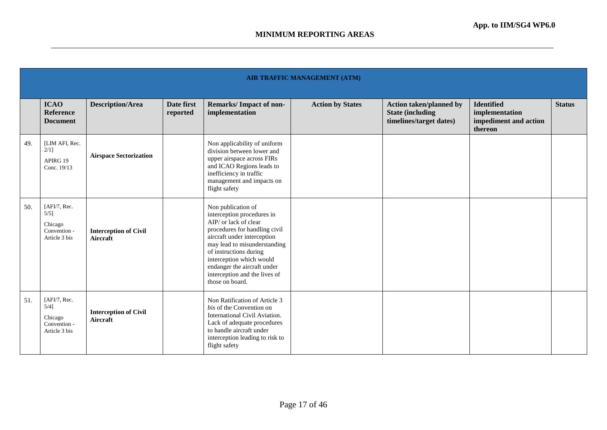|     | AIR TRAFFIC MANAGEMENT (ATM)                                        |                                                 |                        |                                                                                                                                                                                                                                                                                                                    |                         |                                                                                      |                                                                         |               |  |  |
|-----|---------------------------------------------------------------------|-------------------------------------------------|------------------------|--------------------------------------------------------------------------------------------------------------------------------------------------------------------------------------------------------------------------------------------------------------------------------------------------------------------|-------------------------|--------------------------------------------------------------------------------------|-------------------------------------------------------------------------|---------------|--|--|
|     | <b>ICAO</b><br><b>Reference</b><br><b>Document</b>                  | <b>Description/Area</b>                         | Date first<br>reported | <b>Remarks/Impact of non-</b><br>implementation                                                                                                                                                                                                                                                                    | <b>Action by States</b> | <b>Action taken/planned by</b><br><b>State (including</b><br>timelines/target dates) | <b>Identified</b><br>implementation<br>impediment and action<br>thereon | <b>Status</b> |  |  |
| 49. | [LIM AFI, Rec.<br>2/11<br>APIRG 19<br>Conc. 19/13                   | <b>Airspace Sectorization</b>                   |                        | Non applicability of uniform<br>division between lower and<br>upper airspace across FIRs<br>and ICAO Regions leads to<br>inefficiency in traffic<br>management and impacts on<br>flight safety                                                                                                                     |                         |                                                                                      |                                                                         |               |  |  |
| 50. | [AFI/7, Rec.<br>$5/5$ ]<br>Chicago<br>Convention -<br>Article 3 bis | <b>Interception of Civil</b><br><b>Aircraft</b> |                        | Non publication of<br>interception procedures in<br>AIP/ or lack of clear<br>procedures for handling civil<br>aircraft under interception<br>may lead to misunderstanding<br>of instructions during<br>interception which would<br>endanger the aircraft under<br>interception and the lives of<br>those on board. |                         |                                                                                      |                                                                         |               |  |  |
| 51. | [AFI/7, Rec.<br>$5/4$ ]<br>Chicago<br>Convention -<br>Article 3 bis | <b>Interception of Civil</b><br>Aircraft        |                        | Non Ratification of Article 3<br>bis of the Convention on<br>International Civil Aviation.<br>Lack of adequate procedures<br>to handle aircraft under<br>interception leading to risk to<br>flight safety                                                                                                          |                         |                                                                                      |                                                                         |               |  |  |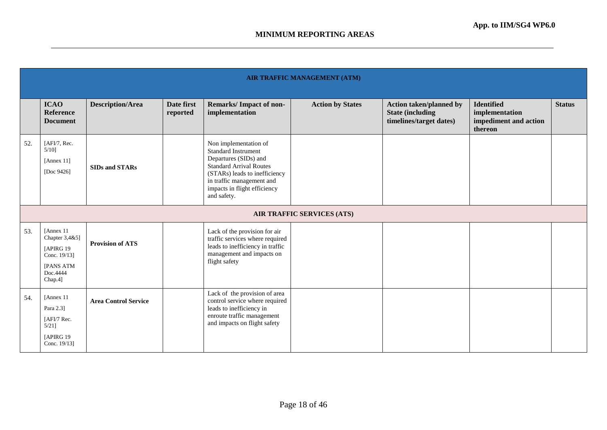|     | <b>AIR TRAFFIC MANAGEMENT (ATM)</b>                                                            |                             |                        |                                                                                                                                                                                                                             |                                   |                                                                                      |                                                                         |               |  |  |  |
|-----|------------------------------------------------------------------------------------------------|-----------------------------|------------------------|-----------------------------------------------------------------------------------------------------------------------------------------------------------------------------------------------------------------------------|-----------------------------------|--------------------------------------------------------------------------------------|-------------------------------------------------------------------------|---------------|--|--|--|
|     | <b>ICAO</b><br>Reference<br><b>Document</b>                                                    | <b>Description/Area</b>     | Date first<br>reported | Remarks/Impact of non-<br>implementation                                                                                                                                                                                    | <b>Action by States</b>           | <b>Action taken/planned by</b><br><b>State (including</b><br>timelines/target dates) | <b>Identified</b><br>implementation<br>impediment and action<br>thereon | <b>Status</b> |  |  |  |
| 52. | [AFI/7, Rec.<br>$5/10$ ]<br>[Annex $11$ ]<br>[Doc $9426$ ]                                     | <b>SIDs and STARs</b>       |                        | Non implementation of<br><b>Standard Instrument</b><br>Departures (SIDs) and<br><b>Standard Arrival Routes</b><br>(STARs) leads to inefficiency<br>in traffic management and<br>impacts in flight efficiency<br>and safety. |                                   |                                                                                      |                                                                         |               |  |  |  |
|     |                                                                                                |                             |                        |                                                                                                                                                                                                                             | <b>AIR TRAFFIC SERVICES (ATS)</b> |                                                                                      |                                                                         |               |  |  |  |
| 53. | [Annex 11]<br>Chapter 3,4&5]<br>[APIRG 19]<br>Conc. 19/13]<br>[PANS ATM<br>Doc.4444<br>Chap.4] | <b>Provision of ATS</b>     |                        | Lack of the provision for air<br>traffic services where required<br>leads to inefficiency in traffic<br>management and impacts on<br>flight safety                                                                          |                                   |                                                                                      |                                                                         |               |  |  |  |
| 54. | [Annex 11]<br>Para 2.3]<br>[AFI/7 Rec.<br>$5/21$ ]<br>[APIRG 19]<br>Conc. 19/13]               | <b>Area Control Service</b> |                        | Lack of the provision of area<br>control service where required<br>leads to inefficiency in<br>enroute traffic management<br>and impacts on flight safety                                                                   |                                   |                                                                                      |                                                                         |               |  |  |  |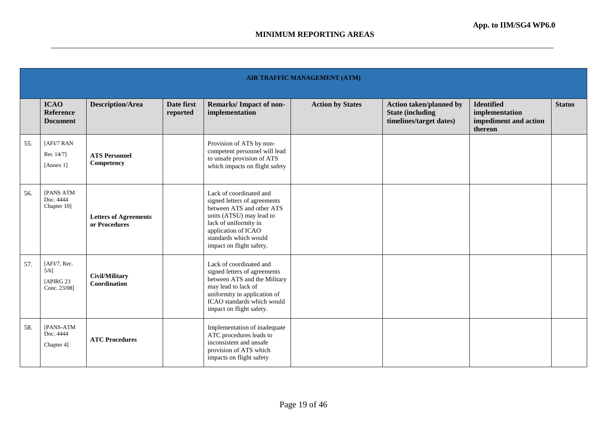|     | AIR TRAFFIC MANAGEMENT (ATM)                          |                                               |                        |                                                                                                                                                                                                                       |                         |                                                                                       |                                                                         |               |  |  |  |
|-----|-------------------------------------------------------|-----------------------------------------------|------------------------|-----------------------------------------------------------------------------------------------------------------------------------------------------------------------------------------------------------------------|-------------------------|---------------------------------------------------------------------------------------|-------------------------------------------------------------------------|---------------|--|--|--|
|     | <b>ICAO</b><br><b>Reference</b><br><b>Document</b>    | <b>Description/Area</b>                       | Date first<br>reported | <b>Remarks/Impact of non-</b><br>implementation                                                                                                                                                                       | <b>Action by States</b> | <b>Action taken/planned by</b><br><b>State (including)</b><br>timelines/target dates) | <b>Identified</b><br>implementation<br>impediment and action<br>thereon | <b>Status</b> |  |  |  |
| 55. | [AFI/7 RAN<br>Rec 14/71<br>[Annex 1]                  | <b>ATS Personnel</b><br>Competency            |                        | Provision of ATS by non-<br>competent personnel will lead<br>to unsafe provision of ATS<br>which impacts on flight safety                                                                                             |                         |                                                                                       |                                                                         |               |  |  |  |
| 56. | <b>IPANS ATM</b><br>Doc. 4444<br>Chapter 10]          | <b>Letters of Agreements</b><br>or Procedures |                        | Lack of coordinated and<br>signed letters of agreements<br>between ATS and other ATS<br>units (ATSU) may lead to<br>lack of uniformity in<br>application of ICAO<br>standards which would<br>impact on flight safety. |                         |                                                                                       |                                                                         |               |  |  |  |
| 57. | [AFI/7, Rec.<br>$5/6$ ]<br>[APIRG 23]<br>Conc. 23/08] | Civil/Military<br>Coordination                |                        | Lack of coordinated and<br>signed letters of agreements<br>between ATS and the Military<br>may lead to lack of<br>uniformity in application of<br>ICAO standards which would<br>impact on flight safety.              |                         |                                                                                       |                                                                         |               |  |  |  |
| 58. | [PANS-ATM<br>Doc. 4444<br>Chapter 4]                  | <b>ATC Procedures</b>                         |                        | Implementation of inadequate<br>ATC procedures leads to<br>inconsistent and unsafe<br>provision of ATS which<br>impacts on flight safety                                                                              |                         |                                                                                       |                                                                         |               |  |  |  |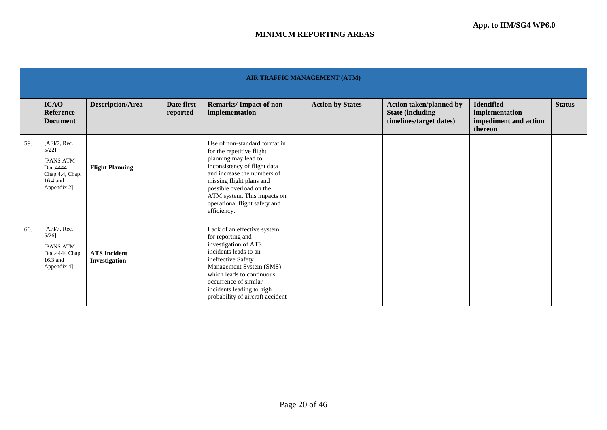|     | AIR TRAFFIC MANAGEMENT (ATM)                                                                           |                                      |                        |                                                                                                                                                                                                                                                                                          |                         |                                                                                       |                                                                         |               |  |  |
|-----|--------------------------------------------------------------------------------------------------------|--------------------------------------|------------------------|------------------------------------------------------------------------------------------------------------------------------------------------------------------------------------------------------------------------------------------------------------------------------------------|-------------------------|---------------------------------------------------------------------------------------|-------------------------------------------------------------------------|---------------|--|--|
|     | <b>ICAO</b><br><b>Reference</b><br><b>Document</b>                                                     | <b>Description/Area</b>              | Date first<br>reported | Remarks/Impact of non-<br>implementation                                                                                                                                                                                                                                                 | <b>Action by States</b> | <b>Action taken/planned by</b><br><b>State (including)</b><br>timelines/target dates) | <b>Identified</b><br>implementation<br>impediment and action<br>thereon | <b>Status</b> |  |  |
| 59. | [AFI/7, Rec.<br>$5/22$ ]<br><b>IPANS ATM</b><br>Doc.4444<br>Chap.4.4, Chap.<br>16.4 and<br>Appendix 2] | <b>Flight Planning</b>               |                        | Use of non-standard format in<br>for the repetitive flight<br>planning may lead to<br>inconsistency of flight data<br>and increase the numbers of<br>missing flight plans and<br>possible overload on the<br>ATM system. This impacts on<br>operational flight safety and<br>efficiency. |                         |                                                                                       |                                                                         |               |  |  |
| 60. | [AFI/7, Rec.<br>$5/26$ ]<br>[PANS ATM<br>Doc.4444 Chap.<br>16.3 and<br>Appendix 4]                     | <b>ATS</b> Incident<br>Investigation |                        | Lack of an effective system<br>for reporting and<br>investigation of ATS<br>incidents leads to an<br>ineffective Safety<br>Management System (SMS)<br>which leads to continuous<br>occurrence of similar<br>incidents leading to high<br>probability of aircraft accident                |                         |                                                                                       |                                                                         |               |  |  |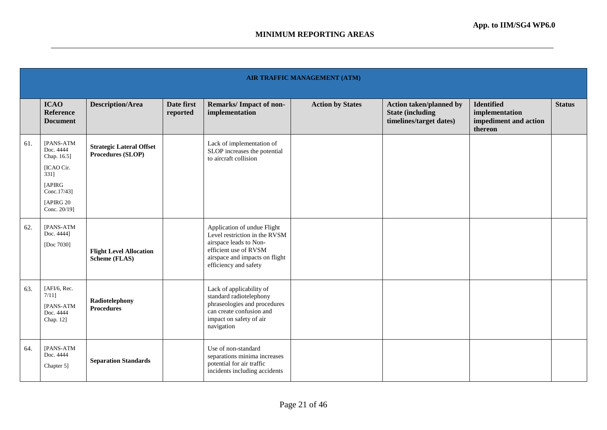|     | <b>AIR TRAFFIC MANAGEMENT (ATM)</b>                                                                               |                                                      |                        |                                                                                                                                                                            |                         |                                                                                       |                                                                         |               |  |  |  |
|-----|-------------------------------------------------------------------------------------------------------------------|------------------------------------------------------|------------------------|----------------------------------------------------------------------------------------------------------------------------------------------------------------------------|-------------------------|---------------------------------------------------------------------------------------|-------------------------------------------------------------------------|---------------|--|--|--|
|     | <b>ICAO</b><br>Reference<br><b>Document</b>                                                                       | <b>Description/Area</b>                              | Date first<br>reported | <b>Remarks/Impact of non-</b><br>implementation                                                                                                                            | <b>Action by States</b> | <b>Action taken/planned by</b><br><b>State (including)</b><br>timelines/target dates) | <b>Identified</b><br>implementation<br>impediment and action<br>thereon | <b>Status</b> |  |  |  |
| 61. | [PANS-ATM<br>Doc. 4444<br>Chap. 16.5]<br>[ICAO Cir.<br>331]<br>[APIRG<br>Conc.17/43]<br>[APIRG 20<br>Conc. 20/19] | <b>Strategic Lateral Offset</b><br>Procedures (SLOP) |                        | Lack of implementation of<br>SLOP increases the potential<br>to aircraft collision                                                                                         |                         |                                                                                       |                                                                         |               |  |  |  |
| 62. | [PANS-ATM<br>Doc. 4444]<br>[Doc 7030]                                                                             | <b>Flight Level Allocation</b><br>Scheme (FLAS)      |                        | Application of undue Flight<br>Level restriction in the RVSM<br>airspace leads to Non-<br>efficient use of RVSM<br>airspace and impacts on flight<br>efficiency and safety |                         |                                                                                       |                                                                         |               |  |  |  |
| 63. | [AFI/6, Rec.<br>7/111<br>[PANS-ATM<br>Doc. 4444<br>Chap. 12]                                                      | Radiotelephony<br><b>Procedures</b>                  |                        | Lack of applicability of<br>standard radiotelephony<br>phraseologies and procedures<br>can create confusion and<br>impact on safety of air<br>navigation                   |                         |                                                                                       |                                                                         |               |  |  |  |
| 64. | [PANS-ATM<br>Doc. 4444<br>Chapter 5]                                                                              | <b>Separation Standards</b>                          |                        | Use of non-standard<br>separations minima increases<br>potential for air traffic<br>incidents including accidents                                                          |                         |                                                                                       |                                                                         |               |  |  |  |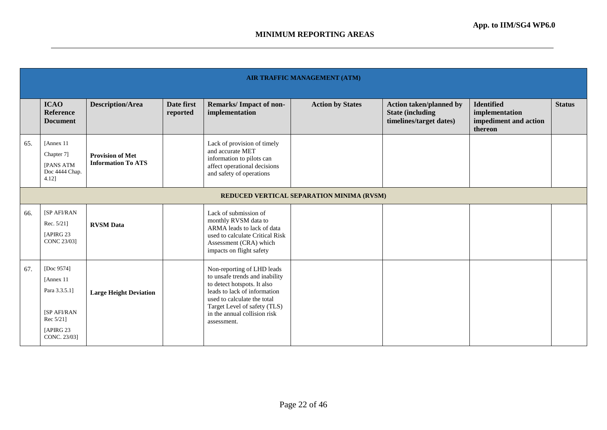|     | AIR TRAFFIC MANAGEMENT (ATM)                                                                        |                                                      |                        |                                                                                                                                                                                                                                           |                         |                                                                                       |                                                                         |               |  |  |  |
|-----|-----------------------------------------------------------------------------------------------------|------------------------------------------------------|------------------------|-------------------------------------------------------------------------------------------------------------------------------------------------------------------------------------------------------------------------------------------|-------------------------|---------------------------------------------------------------------------------------|-------------------------------------------------------------------------|---------------|--|--|--|
|     | <b>ICAO</b><br><b>Reference</b><br><b>Document</b>                                                  | <b>Description/Area</b>                              | Date first<br>reported | <b>Remarks/Impact of non-</b><br>implementation                                                                                                                                                                                           | <b>Action by States</b> | <b>Action taken/planned by</b><br><b>State (including)</b><br>timelines/target dates) | <b>Identified</b><br>implementation<br>impediment and action<br>thereon | <b>Status</b> |  |  |  |
| 65. | [Annex 11]<br>Chapter 7]<br>[PANS ATM<br>Doc 4444 Chap.<br>4.12]                                    | <b>Provision of Met</b><br><b>Information To ATS</b> |                        | Lack of provision of timely<br>and accurate MET<br>information to pilots can<br>affect operational decisions<br>and safety of operations                                                                                                  |                         |                                                                                       |                                                                         |               |  |  |  |
|     | REDUCED VERTICAL SEPARATION MINIMA (RVSM)                                                           |                                                      |                        |                                                                                                                                                                                                                                           |                         |                                                                                       |                                                                         |               |  |  |  |
| 66. | [SP AFI/RAN<br>Rec. $5/21$ ]<br>[APIRG 23]<br>CONC 23/03]                                           | <b>RVSM</b> Data                                     |                        | Lack of submission of<br>monthly RVSM data to<br>ARMA leads to lack of data<br>used to calculate Critical Risk<br>Assessment (CRA) which<br>impacts on flight safety                                                                      |                         |                                                                                       |                                                                         |               |  |  |  |
| 67. | [Doc 9574]<br>[Annex 11]<br>Para 3.3.5.1]<br>[SP AFI/RAN<br>Rec 5/21]<br>[APIRG 23]<br>CONC. 23/03] | <b>Large Height Deviation</b>                        |                        | Non-reporting of LHD leads<br>to unsafe trends and inability<br>to detect hotspots. It also<br>leads to lack of information<br>used to calculate the total<br>Target Level of safety (TLS)<br>in the annual collision risk<br>assessment. |                         |                                                                                       |                                                                         |               |  |  |  |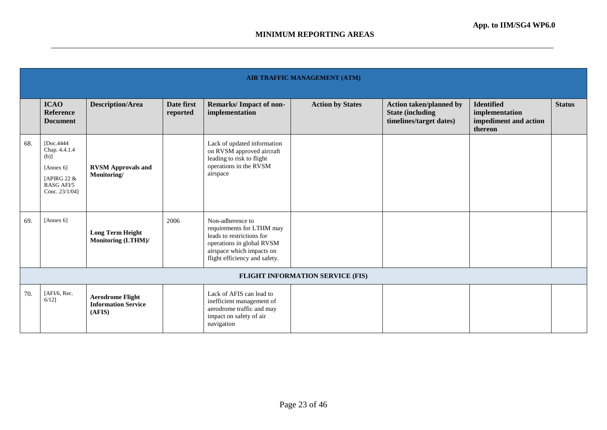|     | AIR TRAFFIC MANAGEMENT (ATM)                                                                          |                                                                 |                        |                                                                                                                                                                       |                                         |                                                                                       |                                                                         |               |  |  |
|-----|-------------------------------------------------------------------------------------------------------|-----------------------------------------------------------------|------------------------|-----------------------------------------------------------------------------------------------------------------------------------------------------------------------|-----------------------------------------|---------------------------------------------------------------------------------------|-------------------------------------------------------------------------|---------------|--|--|
|     | <b>ICAO</b><br><b>Reference</b><br><b>Document</b>                                                    | <b>Description/Area</b>                                         | Date first<br>reported | Remarks/Impact of non-<br>implementation                                                                                                                              | <b>Action by States</b>                 | <b>Action taken/planned by</b><br><b>State (including)</b><br>timelines/target dates) | <b>Identified</b><br>implementation<br>impediment and action<br>thereon | <b>Status</b> |  |  |
| 68. | [Doc.4444]<br>Chap. 4.4.1.4<br>$(b)$ ]<br>[Annex $6$ ]<br>[APIRG 22 &<br>RASG AFI/5<br>Conc. 23/1/04] | <b>RVSM Approvals and</b><br>Monitoring/                        |                        | Lack of updated information<br>on RVSM approved aircraft<br>leading to risk to flight<br>operations in the RVSM<br>airspace                                           |                                         |                                                                                       |                                                                         |               |  |  |
| 69. | [Annex 6]                                                                                             | <b>Long Term Height</b><br>Monitoring (LTHM)/                   | 2006                   | Non-adherence to<br>requirements for LTHM may<br>leads to restrictions for<br>operations in global RVSM<br>airspace which impacts on<br>flight efficiency and safety. |                                         |                                                                                       |                                                                         |               |  |  |
|     |                                                                                                       |                                                                 |                        |                                                                                                                                                                       | <b>FLIGHT INFORMATION SERVICE (FIS)</b> |                                                                                       |                                                                         |               |  |  |
| 70. | [AFI/6, Rec.<br>$6/12$ ]                                                                              | <b>Aerodrome Flight</b><br><b>Information Service</b><br>(AFIS) |                        | Lack of AFIS can lead to<br>inefficient management of<br>aerodrome traffic and may<br>impact on safety of air<br>navigation                                           |                                         |                                                                                       |                                                                         |               |  |  |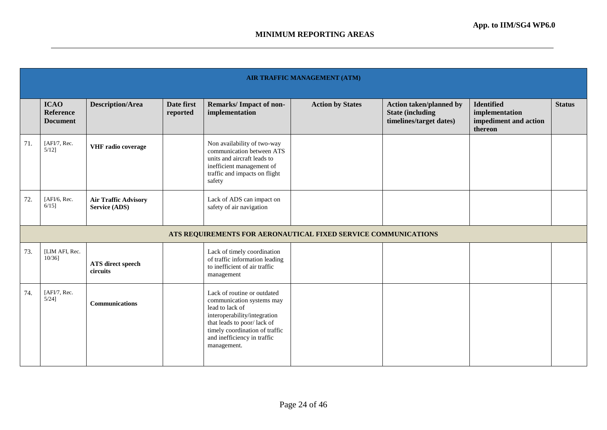|     | <b>AIR TRAFFIC MANAGEMENT (ATM)</b>                |                                                     |                        |                                                                                                                                                                                                                           |                                                                |                                                                                      |                                                                         |               |  |  |  |
|-----|----------------------------------------------------|-----------------------------------------------------|------------------------|---------------------------------------------------------------------------------------------------------------------------------------------------------------------------------------------------------------------------|----------------------------------------------------------------|--------------------------------------------------------------------------------------|-------------------------------------------------------------------------|---------------|--|--|--|
|     | <b>ICAO</b><br><b>Reference</b><br><b>Document</b> | <b>Description/Area</b>                             | Date first<br>reported | Remarks/Impact of non-<br>implementation                                                                                                                                                                                  | <b>Action by States</b>                                        | <b>Action taken/planned by</b><br><b>State (including</b><br>timelines/target dates) | <b>Identified</b><br>implementation<br>impediment and action<br>thereon | <b>Status</b> |  |  |  |
| 71. | [AFI/7, Rec.<br>$5/12$ ]                           | VHF radio coverage                                  |                        | Non availability of two-way<br>communication between ATS<br>units and aircraft leads to<br>inefficient management of<br>traffic and impacts on flight<br>safety                                                           |                                                                |                                                                                      |                                                                         |               |  |  |  |
| 72. | [AFI/6, Rec.<br>$6/15$ ]                           | <b>Air Traffic Advisory</b><br><b>Service (ADS)</b> |                        | Lack of ADS can impact on<br>safety of air navigation                                                                                                                                                                     |                                                                |                                                                                      |                                                                         |               |  |  |  |
|     |                                                    |                                                     |                        |                                                                                                                                                                                                                           | ATS REQUIREMENTS FOR AERONAUTICAL FIXED SERVICE COMMUNICATIONS |                                                                                      |                                                                         |               |  |  |  |
| 73. | [LIM AFI, Rec.<br>$10/36$ ]                        | ATS direct speech<br>circuits                       |                        | Lack of timely coordination<br>of traffic information leading<br>to inefficient of air traffic<br>management                                                                                                              |                                                                |                                                                                      |                                                                         |               |  |  |  |
| 74. | [AFI/7, Rec.<br>$5/24$ ]                           | <b>Communications</b>                               |                        | Lack of routine or outdated<br>communication systems may<br>lead to lack of<br>interoperability/integration<br>that leads to poor/lack of<br>timely coordination of traffic<br>and inefficiency in traffic<br>management. |                                                                |                                                                                      |                                                                         |               |  |  |  |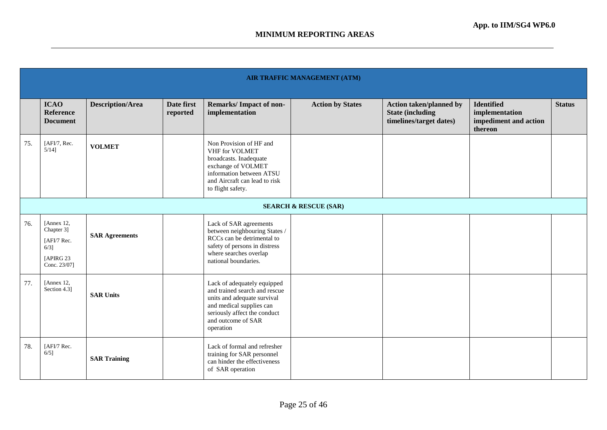|     | <b>AIR TRAFFIC MANAGEMENT (ATM)</b>                                              |                         |                        |                                                                                                                                                                                            |                         |                                                                                      |                                                                         |               |  |  |  |  |
|-----|----------------------------------------------------------------------------------|-------------------------|------------------------|--------------------------------------------------------------------------------------------------------------------------------------------------------------------------------------------|-------------------------|--------------------------------------------------------------------------------------|-------------------------------------------------------------------------|---------------|--|--|--|--|
|     | <b>ICAO</b><br>Reference<br><b>Document</b>                                      | <b>Description/Area</b> | Date first<br>reported | <b>Remarks/Impact of non-</b><br>implementation                                                                                                                                            | <b>Action by States</b> | <b>Action taken/planned by</b><br><b>State (including</b><br>timelines/target dates) | <b>Identified</b><br>implementation<br>impediment and action<br>thereon | <b>Status</b> |  |  |  |  |
| 75. | [AFI/7, Rec.<br>$5/14$ ]                                                         | <b>VOLMET</b>           |                        | Non Provision of HF and<br>VHF for VOLMET<br>broadcasts. Inadequate<br>exchange of VOLMET<br>information between ATSU<br>and Aircraft can lead to risk<br>to flight safety.                |                         |                                                                                      |                                                                         |               |  |  |  |  |
|     | <b>SEARCH &amp; RESCUE (SAR)</b>                                                 |                         |                        |                                                                                                                                                                                            |                         |                                                                                      |                                                                         |               |  |  |  |  |
| 76. | [Annex 12,<br>Chapter 3]<br>[AFI/7 Rec.<br>$6/3$ ]<br>[APIRG 23]<br>Conc. 23/07] | <b>SAR Agreements</b>   |                        | Lack of SAR agreements<br>between neighbouring States /<br>RCCs can be detrimental to<br>safety of persons in distress<br>where searches overlap<br>national boundaries.                   |                         |                                                                                      |                                                                         |               |  |  |  |  |
| 77. | [Annex 12,<br>Section 4.3]                                                       | <b>SAR Units</b>        |                        | Lack of adequately equipped<br>and trained search and rescue<br>units and adequate survival<br>and medical supplies can<br>seriously affect the conduct<br>and outcome of SAR<br>operation |                         |                                                                                      |                                                                         |               |  |  |  |  |
| 78. | [AFI/7 Rec.<br>$6/5$ ]                                                           | <b>SAR Training</b>     |                        | Lack of formal and refresher<br>training for SAR personnel<br>can hinder the effectiveness<br>of SAR operation                                                                             |                         |                                                                                      |                                                                         |               |  |  |  |  |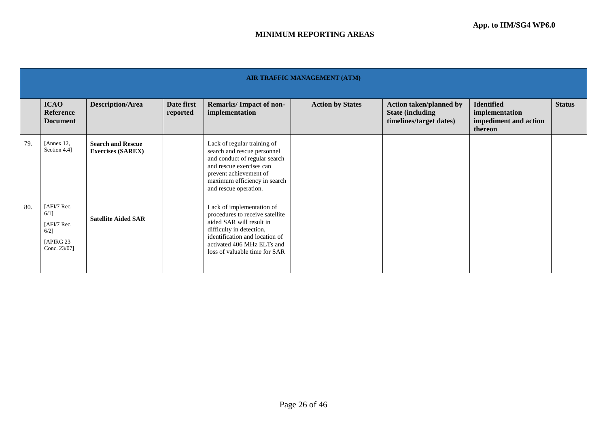|     | <b>AIR TRAFFIC MANAGEMENT (ATM)</b>                                            |                                                      |                        |                                                                                                                                                                                                                       |                         |                                                                                       |                                                                         |               |  |  |  |
|-----|--------------------------------------------------------------------------------|------------------------------------------------------|------------------------|-----------------------------------------------------------------------------------------------------------------------------------------------------------------------------------------------------------------------|-------------------------|---------------------------------------------------------------------------------------|-------------------------------------------------------------------------|---------------|--|--|--|
|     | <b>ICAO</b><br>Reference<br><b>Document</b>                                    | <b>Description/Area</b>                              | Date first<br>reported | Remarks/Impact of non-<br>implementation                                                                                                                                                                              | <b>Action by States</b> | <b>Action taken/planned by</b><br><b>State (including)</b><br>timelines/target dates) | <b>Identified</b><br>implementation<br>impediment and action<br>thereon | <b>Status</b> |  |  |  |
| 79. | [Annex 12,<br>Section 4.4]                                                     | <b>Search and Rescue</b><br><b>Exercises (SAREX)</b> |                        | Lack of regular training of<br>search and rescue personnel<br>and conduct of regular search<br>and rescue exercises can<br>prevent achievement of<br>maximum efficiency in search<br>and rescue operation.            |                         |                                                                                       |                                                                         |               |  |  |  |
| 80. | [AFI/7 Rec.<br>$6/1$ ]<br>[AFI/7 Rec.<br>$6/2$ ]<br>[APIRG 23]<br>Conc. 23/07] | <b>Satellite Aided SAR</b>                           |                        | Lack of implementation of<br>procedures to receive satellite<br>aided SAR will result in<br>difficulty in detection,<br>identification and location of<br>activated 406 MHz ELTs and<br>loss of valuable time for SAR |                         |                                                                                       |                                                                         |               |  |  |  |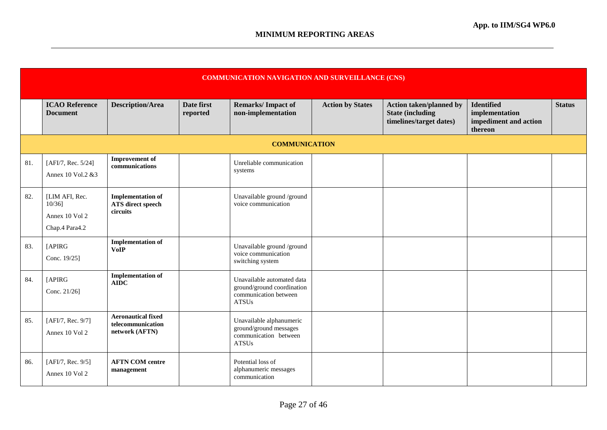|     | <b>COMMUNICATION NAVIGATION AND SURVEILLANCE (CNS)</b>      |                                                                  |                        |                                                                                                   |                         |                                                                                      |                                                                         |               |  |  |
|-----|-------------------------------------------------------------|------------------------------------------------------------------|------------------------|---------------------------------------------------------------------------------------------------|-------------------------|--------------------------------------------------------------------------------------|-------------------------------------------------------------------------|---------------|--|--|
|     | <b>ICAO Reference</b><br><b>Document</b>                    | <b>Description/Area</b>                                          | Date first<br>reported | <b>Remarks/Impact of</b><br>non-implementation                                                    | <b>Action by States</b> | <b>Action taken/planned by</b><br><b>State (including</b><br>timelines/target dates) | <b>Identified</b><br>implementation<br>impediment and action<br>thereon | <b>Status</b> |  |  |
|     |                                                             |                                                                  |                        | <b>COMMUNICATION</b>                                                                              |                         |                                                                                      |                                                                         |               |  |  |
| 81. | [AFI/7, Rec. 5/24]<br>Annex 10 Vol.2 & 3                    | <b>Improvement</b> of<br>communications                          |                        | Unreliable communication<br>systems                                                               |                         |                                                                                      |                                                                         |               |  |  |
| 82. | [LIM AFI, Rec.<br>10/36<br>Annex 10 Vol 2<br>Chap.4 Para4.2 | <b>Implementation of</b><br><b>ATS</b> direct speech<br>circuits |                        | Unavailable ground /ground<br>voice communication                                                 |                         |                                                                                      |                                                                         |               |  |  |
| 83. | [APIRG<br>Conc. 19/25]                                      | <b>Implementation of</b><br><b>VoIP</b>                          |                        | Unavailable ground /ground<br>voice communication<br>switching system                             |                         |                                                                                      |                                                                         |               |  |  |
| 84. | [APIRG<br>Conc. 21/26]                                      | <b>Implementation of</b><br><b>AIDC</b>                          |                        | Unavailable automated data<br>ground/ground coordination<br>communication between<br><b>ATSUs</b> |                         |                                                                                      |                                                                         |               |  |  |
| 85. | [AFI/7, Rec. 9/7]<br>Annex 10 Vol 2                         | <b>Aeronautical fixed</b><br>telecommunication<br>network (AFTN) |                        | Unavailable alphanumeric<br>ground/ground messages<br>communication between<br>${\rm ATSUs}$      |                         |                                                                                      |                                                                         |               |  |  |
| 86. | [AFI/7, Rec. 9/5]<br>Annex 10 Vol 2                         | <b>AFTN COM centre</b><br>management                             |                        | Potential loss of<br>alphanumeric messages<br>communication                                       |                         |                                                                                      |                                                                         |               |  |  |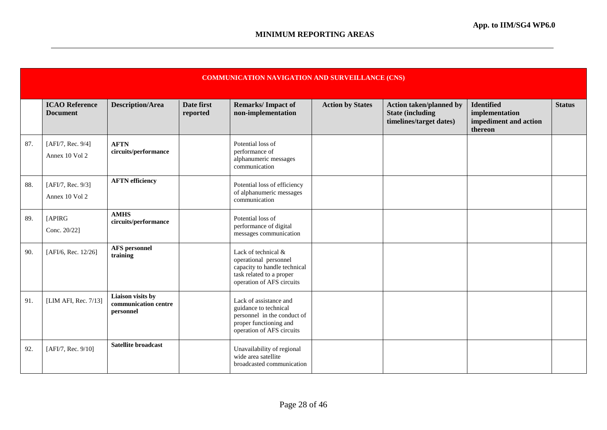|     | <b>COMMUNICATION NAVIGATION AND SURVEILLANCE (CNS)</b> |                                                        |                        |                                                                                                                                       |                         |                                                                                       |                                                                         |               |  |  |
|-----|--------------------------------------------------------|--------------------------------------------------------|------------------------|---------------------------------------------------------------------------------------------------------------------------------------|-------------------------|---------------------------------------------------------------------------------------|-------------------------------------------------------------------------|---------------|--|--|
|     | <b>ICAO Reference</b><br><b>Document</b>               | <b>Description/Area</b>                                | Date first<br>reported | <b>Remarks/Impact of</b><br>non-implementation                                                                                        | <b>Action by States</b> | <b>Action taken/planned by</b><br><b>State (including)</b><br>timelines/target dates) | <b>Identified</b><br>implementation<br>impediment and action<br>thereon | <b>Status</b> |  |  |
| 87. | [AFI/7, Rec. 9/4]<br>Annex 10 Vol 2                    | <b>AFTN</b><br>circuits/performance                    |                        | Potential loss of<br>performance of<br>alphanumeric messages<br>communication                                                         |                         |                                                                                       |                                                                         |               |  |  |
| 88. | [AFI/7, Rec. 9/3]<br>Annex 10 Vol 2                    | <b>AFTN</b> efficiency                                 |                        | Potential loss of efficiency<br>of alphanumeric messages<br>communication                                                             |                         |                                                                                       |                                                                         |               |  |  |
| 89. | [APIRG<br>Conc. 20/22]                                 | <b>AMHS</b><br>circuits/performance                    |                        | Potential loss of<br>performance of digital<br>messages communication                                                                 |                         |                                                                                       |                                                                         |               |  |  |
| 90. | [AFI/6, Rec. 12/26]                                    | <b>AFS</b> personnel<br>training                       |                        | Lack of technical &<br>operational personnel<br>capacity to handle technical<br>task related to a proper<br>operation of AFS circuits |                         |                                                                                       |                                                                         |               |  |  |
| 91. | [LIM AFI, Rec. 7/13]                                   | Liaison visits by<br>communication centre<br>personnel |                        | Lack of assistance and<br>guidance to technical<br>personnel in the conduct of<br>proper functioning and<br>operation of AFS circuits |                         |                                                                                       |                                                                         |               |  |  |
| 92. | [AFI/7, Rec. 9/10]                                     | <b>Satellite broadcast</b>                             |                        | Unavailability of regional<br>wide area satellite<br>broadcasted communication                                                        |                         |                                                                                       |                                                                         |               |  |  |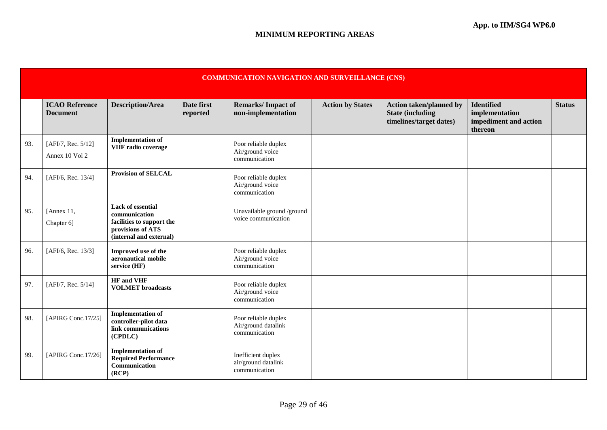|     | <b>COMMUNICATION NAVIGATION AND SURVEILLANCE (CNS)</b> |                                                                                                                        |                        |                                                              |                         |                                                                                      |                                                                         |               |  |  |
|-----|--------------------------------------------------------|------------------------------------------------------------------------------------------------------------------------|------------------------|--------------------------------------------------------------|-------------------------|--------------------------------------------------------------------------------------|-------------------------------------------------------------------------|---------------|--|--|
|     | <b>ICAO Reference</b><br><b>Document</b>               | <b>Description/Area</b>                                                                                                | Date first<br>reported | <b>Remarks/Impact of</b><br>non-implementation               | <b>Action by States</b> | <b>Action taken/planned by</b><br><b>State (including</b><br>timelines/target dates) | <b>Identified</b><br>implementation<br>impediment and action<br>thereon | <b>Status</b> |  |  |
| 93. | [AFI/7, Rec. 5/12]<br>Annex 10 Vol 2                   | <b>Implementation of</b><br><b>VHF</b> radio coverage                                                                  |                        | Poor reliable duplex<br>Air/ground voice<br>communication    |                         |                                                                                      |                                                                         |               |  |  |
| 94. | [AFI/6, Rec. 13/4]                                     | <b>Provision of SELCAL</b>                                                                                             |                        | Poor reliable duplex<br>Air/ground voice<br>communication    |                         |                                                                                      |                                                                         |               |  |  |
| 95. | [Annex $11$ ,<br>Chapter 6]                            | <b>Lack of essential</b><br>communication<br>facilities to support the<br>provisions of ATS<br>(internal and external) |                        | Unavailable ground /ground<br>voice communication            |                         |                                                                                      |                                                                         |               |  |  |
| 96. | [AFI/6, Rec. 13/3]                                     | Improved use of the<br>aeronautical mobile<br>service (HF)                                                             |                        | Poor reliable duplex<br>Air/ground voice<br>communication    |                         |                                                                                      |                                                                         |               |  |  |
| 97. | [AFI/7, Rec. 5/14]                                     | <b>HF</b> and VHF<br><b>VOLMET</b> broadcasts                                                                          |                        | Poor reliable duplex<br>Air/ground voice<br>communication    |                         |                                                                                      |                                                                         |               |  |  |
| 98. | [APIRG Conc.17/25]                                     | <b>Implementation of</b><br>controller-pilot data<br>link communications<br>(CPDLC)                                    |                        | Poor reliable duplex<br>Air/ground datalink<br>communication |                         |                                                                                      |                                                                         |               |  |  |
| 99. | [APIRG Conc.17/26]                                     | <b>Implementation of</b><br><b>Required Performance</b><br>Communication<br>(RCP)                                      |                        | Inefficient duplex<br>air/ground datalink<br>communication   |                         |                                                                                      |                                                                         |               |  |  |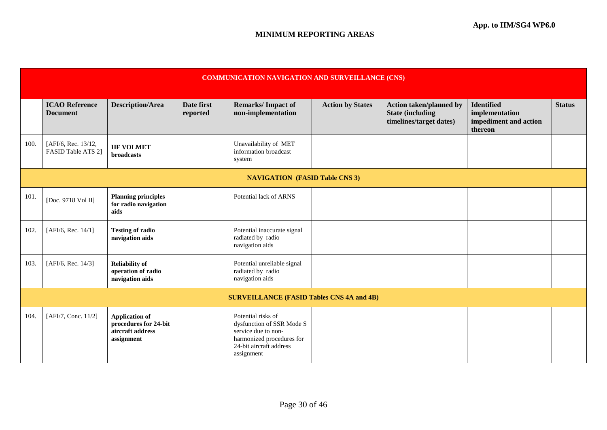|      | <b>COMMUNICATION NAVIGATION AND SURVEILLANCE (CNS)</b> |                                                                                  |                        |                                                                                                                                              |                         |                                                                                      |                                                                         |               |  |  |
|------|--------------------------------------------------------|----------------------------------------------------------------------------------|------------------------|----------------------------------------------------------------------------------------------------------------------------------------------|-------------------------|--------------------------------------------------------------------------------------|-------------------------------------------------------------------------|---------------|--|--|
|      | <b>ICAO Reference</b><br><b>Document</b>               | <b>Description/Area</b>                                                          | Date first<br>reported | <b>Remarks/Impact of</b><br>non-implementation                                                                                               | <b>Action by States</b> | <b>Action taken/planned by</b><br><b>State (including</b><br>timelines/target dates) | <b>Identified</b><br>implementation<br>impediment and action<br>thereon | <b>Status</b> |  |  |
| 100. | [AFI/6, Rec. 13/12,<br>FASID Table ATS 2]              | <b>HF VOLMET</b><br><b>broadcasts</b>                                            |                        | Unavailability of MET<br>information broadcast<br>system                                                                                     |                         |                                                                                      |                                                                         |               |  |  |
|      | <b>NAVIGATION (FASID Table CNS 3)</b>                  |                                                                                  |                        |                                                                                                                                              |                         |                                                                                      |                                                                         |               |  |  |
| 101. | [Doc. 9718 Vol II]                                     | <b>Planning principles</b><br>for radio navigation<br>aids                       |                        | Potential lack of ARNS                                                                                                                       |                         |                                                                                      |                                                                         |               |  |  |
| 102. | [AFI/6, Rec. 14/1]                                     | <b>Testing of radio</b><br>navigation aids                                       |                        | Potential inaccurate signal<br>radiated by radio<br>navigation aids                                                                          |                         |                                                                                      |                                                                         |               |  |  |
| 103. | [AFI/6, Rec. 14/3]                                     | <b>Reliability of</b><br>operation of radio<br>navigation aids                   |                        | Potential unreliable signal<br>radiated by radio<br>navigation aids                                                                          |                         |                                                                                      |                                                                         |               |  |  |
|      |                                                        |                                                                                  |                        | <b>SURVEILLANCE (FASID Tables CNS 4A and 4B)</b>                                                                                             |                         |                                                                                      |                                                                         |               |  |  |
| 104. | [AFI/7, Conc. 11/2]                                    | <b>Application of</b><br>procedures for 24-bit<br>aircraft address<br>assignment |                        | Potential risks of<br>dysfunction of SSR Mode S<br>service due to non-<br>harmonized procedures for<br>24-bit aircraft address<br>assignment |                         |                                                                                      |                                                                         |               |  |  |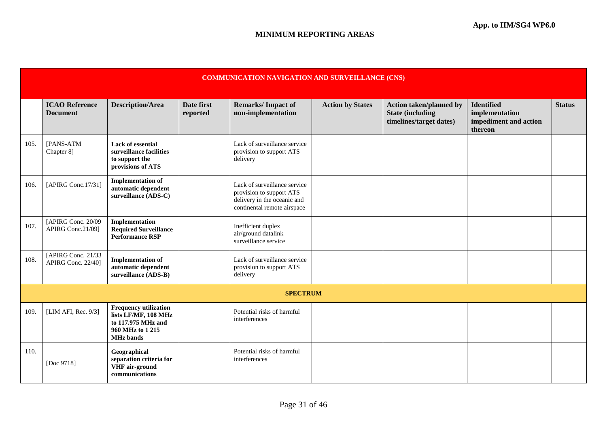|      | <b>COMMUNICATION NAVIGATION AND SURVEILLANCE (CNS)</b> |                                                                                                                   |                        |                                                                                                                        |                         |                                                                                       |                                                                         |               |  |
|------|--------------------------------------------------------|-------------------------------------------------------------------------------------------------------------------|------------------------|------------------------------------------------------------------------------------------------------------------------|-------------------------|---------------------------------------------------------------------------------------|-------------------------------------------------------------------------|---------------|--|
|      | <b>ICAO Reference</b><br><b>Document</b>               | <b>Description/Area</b>                                                                                           | Date first<br>reported | <b>Remarks/Impact of</b><br>non-implementation                                                                         | <b>Action by States</b> | <b>Action taken/planned by</b><br><b>State (including)</b><br>timelines/target dates) | <b>Identified</b><br>implementation<br>impediment and action<br>thereon | <b>Status</b> |  |
| 105. | [PANS-ATM<br>Chapter 8]                                | Lack of essential<br>surveillance facilities<br>to support the<br>provisions of ATS                               |                        | Lack of surveillance service<br>provision to support ATS<br>delivery                                                   |                         |                                                                                       |                                                                         |               |  |
| 106. | [APIRG Conc.17/31]                                     | <b>Implementation of</b><br>automatic dependent<br>surveillance (ADS-C)                                           |                        | Lack of surveillance service<br>provision to support ATS<br>delivery in the oceanic and<br>continental remote airspace |                         |                                                                                       |                                                                         |               |  |
| 107. | [APIRG Conc. 20/09]<br>APIRG Conc.21/09]               | Implementation<br><b>Required Surveillance</b><br><b>Performance RSP</b>                                          |                        | Inefficient duplex<br>air/ground datalink<br>surveillance service                                                      |                         |                                                                                       |                                                                         |               |  |
| 108. | [APIRG Conc. 21/33<br>APIRG Conc. 22/40]               | <b>Implementation of</b><br>automatic dependent<br>surveillance (ADS-B)                                           |                        | Lack of surveillance service<br>provision to support ATS<br>delivery                                                   |                         |                                                                                       |                                                                         |               |  |
|      |                                                        |                                                                                                                   |                        | <b>SPECTRUM</b>                                                                                                        |                         |                                                                                       |                                                                         |               |  |
| 109. | [LIM AFI, Rec. 9/3]                                    | <b>Frequency utilization</b><br>lists LF/MF, 108 MHz<br>to 117.975 MHz and<br>960 MHz to 1215<br><b>MHz</b> bands |                        | Potential risks of harmful<br>interferences                                                                            |                         |                                                                                       |                                                                         |               |  |
| 110. | [Doc 9718]                                             | Geographical<br>separation criteria for<br>VHF air-ground<br>communications                                       |                        | Potential risks of harmful<br>interferences                                                                            |                         |                                                                                       |                                                                         |               |  |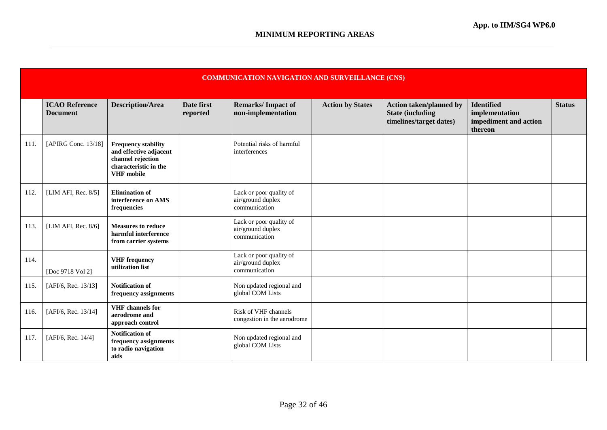|      | <b>COMMUNICATION NAVIGATION AND SURVEILLANCE (CNS)</b> |                                                                                                                         |                        |                                                               |                         |                                                                                       |                                                                         |               |  |  |
|------|--------------------------------------------------------|-------------------------------------------------------------------------------------------------------------------------|------------------------|---------------------------------------------------------------|-------------------------|---------------------------------------------------------------------------------------|-------------------------------------------------------------------------|---------------|--|--|
|      | <b>ICAO Reference</b><br><b>Document</b>               | <b>Description/Area</b>                                                                                                 | Date first<br>reported | <b>Remarks/Impact of</b><br>non-implementation                | <b>Action by States</b> | <b>Action taken/planned by</b><br><b>State (including)</b><br>timelines/target dates) | <b>Identified</b><br>implementation<br>impediment and action<br>thereon | <b>Status</b> |  |  |
| 111. | [APIRG Conc. 13/18]                                    | <b>Frequency stability</b><br>and effective adjacent<br>channel rejection<br>characteristic in the<br><b>VHF</b> mobile |                        | Potential risks of harmful<br>interferences                   |                         |                                                                                       |                                                                         |               |  |  |
| 112. | [LIM AFI, Rec. 8/5]                                    | <b>Elimination</b> of<br>interference on AMS<br>frequencies                                                             |                        | Lack or poor quality of<br>air/ground duplex<br>communication |                         |                                                                                       |                                                                         |               |  |  |
| 113. | [LIM AFI, Rec. 8/6]                                    | <b>Measures to reduce</b><br>harmful interference<br>from carrier systems                                               |                        | Lack or poor quality of<br>air/ground duplex<br>communication |                         |                                                                                       |                                                                         |               |  |  |
| 114. | [Doc 9718 Vol 2]                                       | <b>VHF</b> frequency<br>utilization list                                                                                |                        | Lack or poor quality of<br>air/ground duplex<br>communication |                         |                                                                                       |                                                                         |               |  |  |
| 115. | [AFI/6, Rec. 13/13]                                    | Notification of<br>frequency assignments                                                                                |                        | Non updated regional and<br>global COM Lists                  |                         |                                                                                       |                                                                         |               |  |  |
| 116. | [AFI/6, Rec. 13/14]                                    | <b>VHF</b> channels for<br>aerodrome and<br>approach control                                                            |                        | Risk of VHF channels<br>congestion in the aerodrome           |                         |                                                                                       |                                                                         |               |  |  |
| 117. | [AFI/6, Rec. 14/4]                                     | <b>Notification of</b><br>frequency assignments<br>to radio navigation<br>aids                                          |                        | Non updated regional and<br>global COM Lists                  |                         |                                                                                       |                                                                         |               |  |  |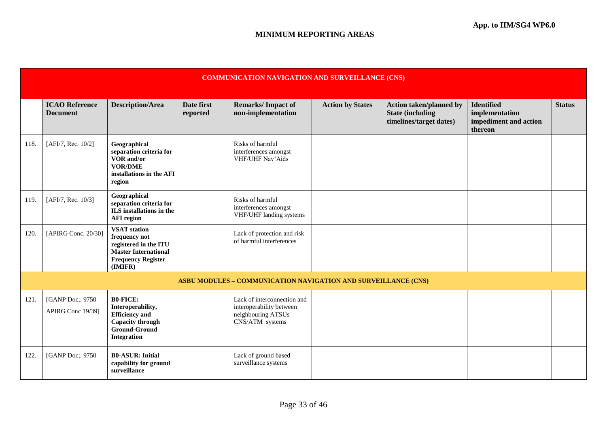|      | <b>COMMUNICATION NAVIGATION AND SURVEILLANCE (CNS)</b> |                                                                                                                                      |                        |                                                                                                  |                         |                                                                                       |                                                                         |               |  |
|------|--------------------------------------------------------|--------------------------------------------------------------------------------------------------------------------------------------|------------------------|--------------------------------------------------------------------------------------------------|-------------------------|---------------------------------------------------------------------------------------|-------------------------------------------------------------------------|---------------|--|
|      | <b>ICAO Reference</b><br><b>Document</b>               | <b>Description/Area</b>                                                                                                              | Date first<br>reported | <b>Remarks/Impact of</b><br>non-implementation                                                   | <b>Action by States</b> | <b>Action taken/planned by</b><br><b>State (including)</b><br>timelines/target dates) | <b>Identified</b><br>implementation<br>impediment and action<br>thereon | <b>Status</b> |  |
| 118. | [AFI/7, Rec. 10/2]                                     | Geographical<br>separation criteria for<br>VOR and/or<br><b>VOR/DME</b><br>installations in the AFI<br>region                        |                        | Risks of harmful<br>interferences amongst<br>VHF/UHF Nav'Aids                                    |                         |                                                                                       |                                                                         |               |  |
| 119. | [AFI/7, Rec. 10/3]                                     | Geographical<br>separation criteria for<br>ILS installations in the<br><b>AFI</b> region                                             |                        | Risks of harmful<br>interferences amongst<br>VHF/UHF landing systems                             |                         |                                                                                       |                                                                         |               |  |
| 120. | [APIRG Conc. 20/30]                                    | <b>VSAT</b> station<br>frequency not<br>registered in the ITU<br><b>Master International</b><br><b>Frequency Register</b><br>(IMIFR) |                        | Lack of protection and risk<br>of harmful interferences                                          |                         |                                                                                       |                                                                         |               |  |
|      |                                                        |                                                                                                                                      |                        | <b>ASBU MODULES – COMMUNICATION NAVIGATION AND SURVEILLANCE (CNS)</b>                            |                         |                                                                                       |                                                                         |               |  |
| 121. | [GANP Doc;. 9750<br>APIRG Conc 19/39]                  | <b>B0-FICE:</b><br>Interoperability,<br><b>Efficiency</b> and<br>Capacity through<br><b>Ground-Ground</b><br><b>Integration</b>      |                        | Lack of interconnection and<br>interoperability between<br>neighbouring ATSUs<br>CNS/ATM systems |                         |                                                                                       |                                                                         |               |  |
| 122. | [GANP Doc;. 9750                                       | <b>B0-ASUR: Initial</b><br>capability for ground<br>surveillance                                                                     |                        | Lack of ground based<br>surveillance systems                                                     |                         |                                                                                       |                                                                         |               |  |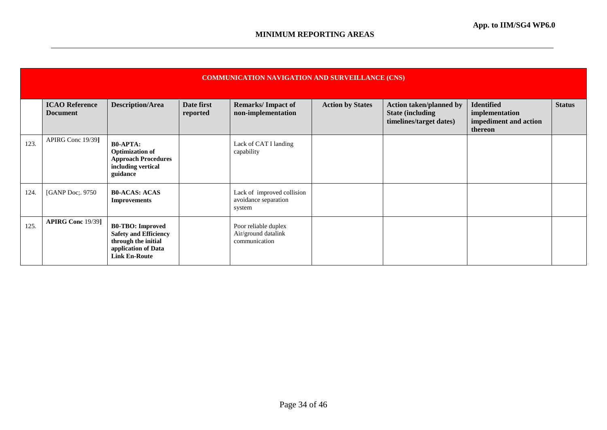|      | <b>COMMUNICATION NAVIGATION AND SURVEILLANCE (CNS)</b> |                                                                                                                               |                        |                                                              |                         |                                                                                       |                                                                         |               |  |  |
|------|--------------------------------------------------------|-------------------------------------------------------------------------------------------------------------------------------|------------------------|--------------------------------------------------------------|-------------------------|---------------------------------------------------------------------------------------|-------------------------------------------------------------------------|---------------|--|--|
|      | <b>ICAO Reference</b><br><b>Document</b>               | <b>Description/Area</b>                                                                                                       | Date first<br>reported | <b>Remarks/Impact of</b><br>non-implementation               | <b>Action by States</b> | <b>Action taken/planned by</b><br><b>State (including)</b><br>timelines/target dates) | <b>Identified</b><br>implementation<br>impediment and action<br>thereon | <b>Status</b> |  |  |
| 123. | APIRG Conc 19/39]                                      | <b>B0-APTA:</b><br><b>Optimization of</b><br><b>Approach Procedures</b><br>including vertical<br>guidance                     |                        | Lack of CAT I landing<br>capability                          |                         |                                                                                       |                                                                         |               |  |  |
| 124. | [GANP Doc;. 9750]                                      | <b>B0-ACAS: ACAS</b><br><b>Improvements</b>                                                                                   |                        | Lack of improved collision<br>avoidance separation<br>system |                         |                                                                                       |                                                                         |               |  |  |
| 125. | <b>APIRG Conc</b> 19/39]                               | <b>B0-TBO:</b> Improved<br><b>Safety and Efficiency</b><br>through the initial<br>application of Data<br><b>Link En-Route</b> |                        | Poor reliable duplex<br>Air/ground datalink<br>communication |                         |                                                                                       |                                                                         |               |  |  |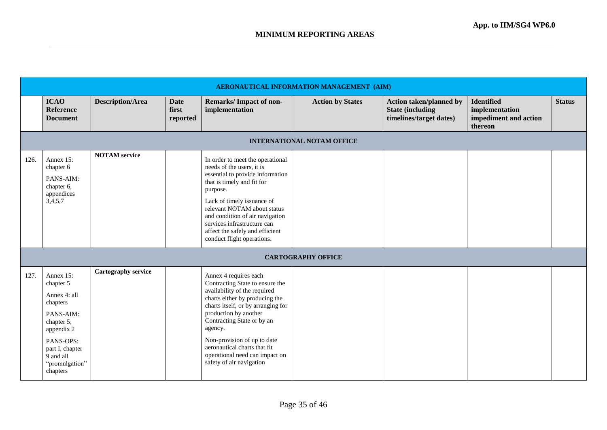|      | AERONAUTICAL INFORMATION MANAGEMENT (AIM)                                                                                                                              |                         |                                  |                                                                                                                                                                                                                                                                                                                                                                 |                                   |                                                                                       |                                                                         |               |  |  |  |
|------|------------------------------------------------------------------------------------------------------------------------------------------------------------------------|-------------------------|----------------------------------|-----------------------------------------------------------------------------------------------------------------------------------------------------------------------------------------------------------------------------------------------------------------------------------------------------------------------------------------------------------------|-----------------------------------|---------------------------------------------------------------------------------------|-------------------------------------------------------------------------|---------------|--|--|--|
|      | <b>ICAO</b><br>Reference<br><b>Document</b>                                                                                                                            | <b>Description/Area</b> | <b>Date</b><br>first<br>reported | <b>Remarks/Impact of non-</b><br>implementation                                                                                                                                                                                                                                                                                                                 | <b>Action by States</b>           | <b>Action taken/planned by</b><br><b>State (including)</b><br>timelines/target dates) | <b>Identified</b><br>implementation<br>impediment and action<br>thereon | <b>Status</b> |  |  |  |
|      |                                                                                                                                                                        |                         |                                  |                                                                                                                                                                                                                                                                                                                                                                 | <b>INTERNATIONAL NOTAM OFFICE</b> |                                                                                       |                                                                         |               |  |  |  |
| 126. | Annex 15:<br>chapter 6<br>PANS-AIM:<br>chapter 6,<br>appendices<br>3,4,5,7                                                                                             | <b>NOTAM</b> service    |                                  | In order to meet the operational<br>needs of the users, it is<br>essential to provide information<br>that is timely and fit for<br>purpose.<br>Lack of timely issuance of<br>relevant NOTAM about status<br>and condition of air navigation<br>services infrastructure can<br>affect the safely and efficient<br>conduct flight operations.                     |                                   |                                                                                       |                                                                         |               |  |  |  |
|      |                                                                                                                                                                        |                         |                                  |                                                                                                                                                                                                                                                                                                                                                                 | <b>CARTOGRAPHY OFFICE</b>         |                                                                                       |                                                                         |               |  |  |  |
| 127. | Annex 15:<br>chapter 5<br>Annex 4: all<br>chapters<br>PANS-AIM:<br>chapter 5,<br>appendix 2<br>PANS-OPS:<br>part I, chapter<br>9 and all<br>"promulgation"<br>chapters | Cartography service     |                                  | Annex 4 requires each<br>Contracting State to ensure the<br>availability of the required<br>charts either by producing the<br>charts itself, or by arranging for<br>production by another<br>Contracting State or by an<br>agency.<br>Non-provision of up to date<br>aeronautical charts that fit<br>operational need can impact on<br>safety of air navigation |                                   |                                                                                       |                                                                         |               |  |  |  |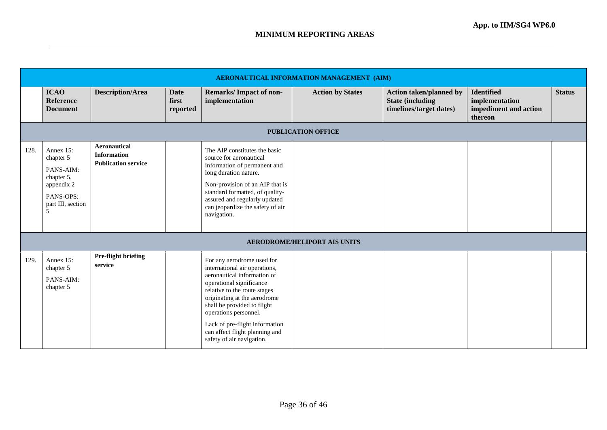|      |                                                                                                        |                                                                         |                                  |                                                                                                                                                                                                                                                                                                                                                 | AERONAUTICAL INFORMATION MANAGEMENT (AIM) |                                                                                       |                                                                         |               |
|------|--------------------------------------------------------------------------------------------------------|-------------------------------------------------------------------------|----------------------------------|-------------------------------------------------------------------------------------------------------------------------------------------------------------------------------------------------------------------------------------------------------------------------------------------------------------------------------------------------|-------------------------------------------|---------------------------------------------------------------------------------------|-------------------------------------------------------------------------|---------------|
|      | <b>ICAO</b><br><b>Reference</b><br><b>Document</b>                                                     | <b>Description/Area</b>                                                 | <b>Date</b><br>first<br>reported | <b>Remarks/Impact of non-</b><br>implementation                                                                                                                                                                                                                                                                                                 | <b>Action by States</b>                   | <b>Action taken/planned by</b><br><b>State (including)</b><br>timelines/target dates) | <b>Identified</b><br>implementation<br>impediment and action<br>thereon | <b>Status</b> |
|      |                                                                                                        |                                                                         |                                  |                                                                                                                                                                                                                                                                                                                                                 | <b>PUBLICATION OFFICE</b>                 |                                                                                       |                                                                         |               |
| 128. | Annex 15:<br>chapter 5<br>PANS-AIM:<br>chapter 5,<br>appendix 2<br>PANS-OPS:<br>part III, section<br>5 | <b>Aeronautical</b><br><b>Information</b><br><b>Publication service</b> |                                  | The AIP constitutes the basic<br>source for aeronautical<br>information of permanent and<br>long duration nature.<br>Non-provision of an AIP that is<br>standard formatted, of quality-<br>assured and regularly updated<br>can jeopardize the safety of air<br>navigation.                                                                     |                                           |                                                                                       |                                                                         |               |
|      |                                                                                                        |                                                                         |                                  |                                                                                                                                                                                                                                                                                                                                                 | <b>AERODROME/HELIPORT AIS UNITS</b>       |                                                                                       |                                                                         |               |
| 129. | Annex 15:<br>chapter 5<br>PANS-AIM:<br>chapter 5                                                       | Pre-flight briefing<br>service                                          |                                  | For any aerodrome used for<br>international air operations,<br>aeronautical information of<br>operational significance<br>relative to the route stages<br>originating at the aerodrome<br>shall be provided to flight<br>operations personnel.<br>Lack of pre-flight information<br>can affect flight planning and<br>safety of air navigation. |                                           |                                                                                       |                                                                         |               |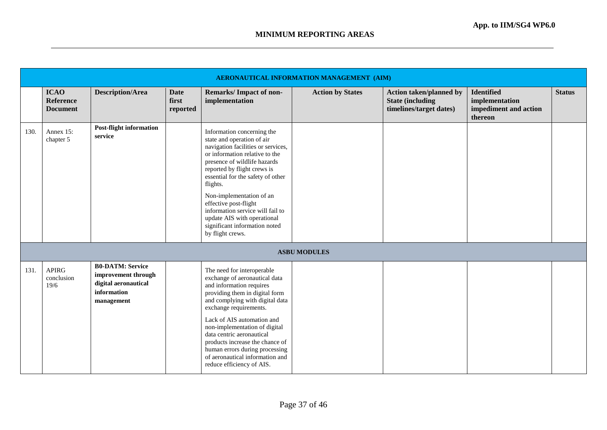|      | AERONAUTICAL INFORMATION MANAGEMENT (AIM)          |                                                                                                     |                                  |                                                                                                                                                                                                                                                                                                                                                                                                                               |                         |                                                                                       |                                                                         |               |  |  |  |
|------|----------------------------------------------------|-----------------------------------------------------------------------------------------------------|----------------------------------|-------------------------------------------------------------------------------------------------------------------------------------------------------------------------------------------------------------------------------------------------------------------------------------------------------------------------------------------------------------------------------------------------------------------------------|-------------------------|---------------------------------------------------------------------------------------|-------------------------------------------------------------------------|---------------|--|--|--|
|      | <b>ICAO</b><br><b>Reference</b><br><b>Document</b> | <b>Description/Area</b>                                                                             | <b>Date</b><br>first<br>reported | <b>Remarks/Impact of non-</b><br>implementation                                                                                                                                                                                                                                                                                                                                                                               | <b>Action by States</b> | <b>Action taken/planned by</b><br><b>State (including)</b><br>timelines/target dates) | <b>Identified</b><br>implementation<br>impediment and action<br>thereon | <b>Status</b> |  |  |  |
| 130. | Annex 15:<br>chapter 5                             | <b>Post-flight information</b><br>service                                                           |                                  | Information concerning the<br>state and operation of air<br>navigation facilities or services,<br>or information relative to the<br>presence of wildlife hazards<br>reported by flight crews is<br>essential for the safety of other<br>flights.<br>Non-implementation of an<br>effective post-flight<br>information service will fail to<br>update AIS with operational<br>significant information noted<br>by flight crews. |                         |                                                                                       |                                                                         |               |  |  |  |
|      |                                                    |                                                                                                     |                                  |                                                                                                                                                                                                                                                                                                                                                                                                                               | <b>ASBU MODULES</b>     |                                                                                       |                                                                         |               |  |  |  |
| 131. | <b>APIRG</b><br>conclusion<br>19/6                 | <b>B0-DATM: Service</b><br>improvement through<br>digital aeronautical<br>information<br>management |                                  | The need for interoperable<br>exchange of aeronautical data<br>and information requires<br>providing them in digital form<br>and complying with digital data<br>exchange requirements.<br>Lack of AIS automation and<br>non-implementation of digital<br>data centric aeronautical<br>products increase the chance of<br>human errors during processing<br>of aeronautical information and<br>reduce efficiency of AIS.       |                         |                                                                                       |                                                                         |               |  |  |  |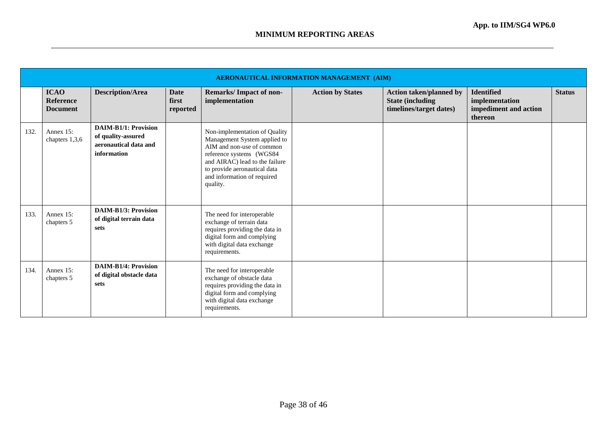|      | <b>AERONAUTICAL INFORMATION MANAGEMENT (AIM)</b> |                                                                                           |                                  |                                                                                                                                                                                                                                     |                         |                                                                                       |                                                                         |               |  |  |  |
|------|--------------------------------------------------|-------------------------------------------------------------------------------------------|----------------------------------|-------------------------------------------------------------------------------------------------------------------------------------------------------------------------------------------------------------------------------------|-------------------------|---------------------------------------------------------------------------------------|-------------------------------------------------------------------------|---------------|--|--|--|
|      | <b>ICAO</b><br>Reference<br><b>Document</b>      | <b>Description/Area</b>                                                                   | <b>Date</b><br>first<br>reported | <b>Remarks/Impact of non-</b><br>implementation                                                                                                                                                                                     | <b>Action by States</b> | <b>Action taken/planned by</b><br><b>State (including)</b><br>timelines/target dates) | <b>Identified</b><br>implementation<br>impediment and action<br>thereon | <b>Status</b> |  |  |  |
| 132. | Annex 15:<br>chapters 1,3,6                      | <b>DAIM-B1/1: Provision</b><br>of quality-assured<br>aeronautical data and<br>information |                                  | Non-implementation of Quality<br>Management System applied to<br>AIM and non-use of common<br>reference systems (WGS84<br>and AIRAC) lead to the failure<br>to provide aeronautical data<br>and information of required<br>quality. |                         |                                                                                       |                                                                         |               |  |  |  |
| 133. | Annex 15:<br>chapters 5                          | <b>DAIM-B1/3: Provision</b><br>of digital terrain data<br>sets                            |                                  | The need for interoperable<br>exchange of terrain data<br>requires providing the data in<br>digital form and complying<br>with digital data exchange<br>requirements.                                                               |                         |                                                                                       |                                                                         |               |  |  |  |
| 134. | Annex 15:<br>chapters 5                          | <b>DAIM-B1/4: Provision</b><br>of digital obstacle data<br>sets                           |                                  | The need for interoperable<br>exchange of obstacle data<br>requires providing the data in<br>digital form and complying<br>with digital data exchange<br>requirements.                                                              |                         |                                                                                       |                                                                         |               |  |  |  |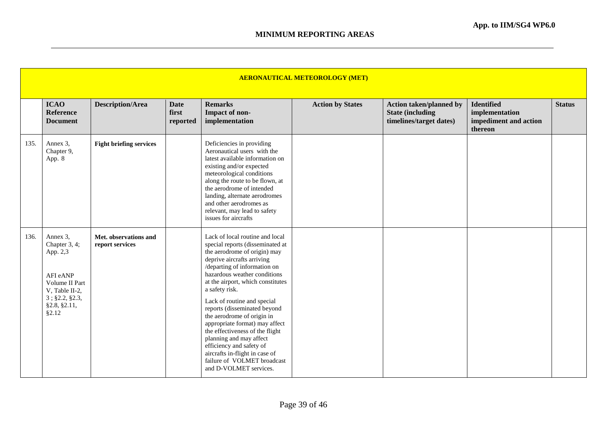|      | <b>AERONAUTICAL METEOROLOGY (MET)</b>                                                                                               |                                          |                                  |                                                                                                                                                                                                                                                                                                                                                                                                                                                                                                                                                                              |                         |                                                                                      |                                                                         |               |  |  |  |
|------|-------------------------------------------------------------------------------------------------------------------------------------|------------------------------------------|----------------------------------|------------------------------------------------------------------------------------------------------------------------------------------------------------------------------------------------------------------------------------------------------------------------------------------------------------------------------------------------------------------------------------------------------------------------------------------------------------------------------------------------------------------------------------------------------------------------------|-------------------------|--------------------------------------------------------------------------------------|-------------------------------------------------------------------------|---------------|--|--|--|
|      | <b>ICAO</b><br><b>Reference</b><br><b>Document</b>                                                                                  | <b>Description/Area</b>                  | <b>Date</b><br>first<br>reported | <b>Remarks</b><br>Impact of non-<br>implementation                                                                                                                                                                                                                                                                                                                                                                                                                                                                                                                           | <b>Action by States</b> | <b>Action taken/planned by</b><br><b>State (including</b><br>timelines/target dates) | <b>Identified</b><br>implementation<br>impediment and action<br>thereon | <b>Status</b> |  |  |  |
| 135. | Annex 3,<br>Chapter 9,<br>App. 8                                                                                                    | <b>Fight briefing services</b>           |                                  | Deficiencies in providing<br>Aeronautical users with the<br>latest available information on<br>existing and/or expected<br>meteorological conditions<br>along the route to be flown, at<br>the aerodrome of intended<br>landing, alternate aerodromes<br>and other aerodromes as<br>relevant, may lead to safety<br>issues for aircrafts                                                                                                                                                                                                                                     |                         |                                                                                      |                                                                         |               |  |  |  |
| 136. | Annex 3,<br>Chapter 3, 4;<br>App. 2,3<br>AFI eANP<br>Volume II Part<br>V, Table II-2,<br>$3$ ; §2.2, §2.3,<br>§2.8, §2.11,<br>§2.12 | Met. observations and<br>report services |                                  | Lack of local routine and local<br>special reports (disseminated at<br>the aerodrome of origin) may<br>deprive aircrafts arriving<br>/departing of information on<br>hazardous weather conditions<br>at the airport, which constitutes<br>a safety risk.<br>Lack of routine and special<br>reports (disseminated beyond<br>the aerodrome of origin in<br>appropriate format) may affect<br>the effectiveness of the flight<br>planning and may affect<br>efficiency and safety of<br>aircrafts in-flight in case of<br>failure of VOLMET broadcast<br>and D-VOLMET services. |                         |                                                                                      |                                                                         |               |  |  |  |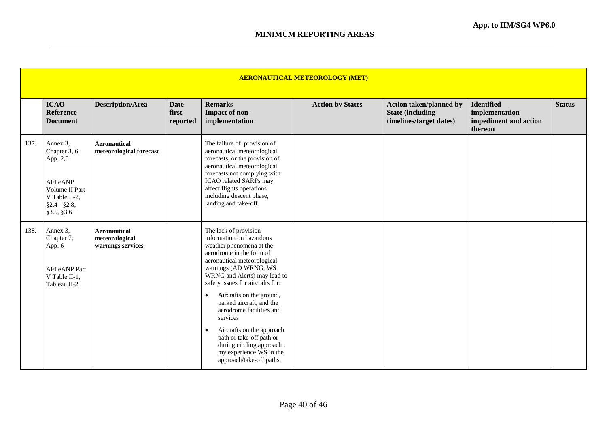|      | <b>AERONAUTICAL METEOROLOGY (MET)</b>                                                                                |                                                            |                                  |                                                                                                                                                                                                                                                                                                                                                                                                                                                                                                               |                         |                                                                                       |                                                                         |               |  |  |  |
|------|----------------------------------------------------------------------------------------------------------------------|------------------------------------------------------------|----------------------------------|---------------------------------------------------------------------------------------------------------------------------------------------------------------------------------------------------------------------------------------------------------------------------------------------------------------------------------------------------------------------------------------------------------------------------------------------------------------------------------------------------------------|-------------------------|---------------------------------------------------------------------------------------|-------------------------------------------------------------------------|---------------|--|--|--|
|      | <b>ICAO</b><br><b>Reference</b><br><b>Document</b>                                                                   | <b>Description/Area</b>                                    | <b>Date</b><br>first<br>reported | <b>Remarks</b><br>Impact of non-<br>implementation                                                                                                                                                                                                                                                                                                                                                                                                                                                            | <b>Action by States</b> | <b>Action taken/planned by</b><br><b>State (including)</b><br>timelines/target dates) | <b>Identified</b><br>implementation<br>impediment and action<br>thereon | <b>Status</b> |  |  |  |
| 137. | Annex 3,<br>Chapter 3, 6;<br>App. 2,5<br>AFI eANP<br>Volume II Part<br>V Table II-2,<br>$§2.4 - §2.8,$<br>§3.5, §3.6 | <b>Aeronautical</b><br>meteorological forecast             |                                  | The failure of provision of<br>aeronautical meteorological<br>forecasts, or the provision of<br>aeronautical meteorological<br>forecasts not complying with<br>ICAO related SARPs may<br>affect flights operations<br>including descent phase,<br>landing and take-off.                                                                                                                                                                                                                                       |                         |                                                                                       |                                                                         |               |  |  |  |
| 138. | Annex 3,<br>Chapter 7;<br>App. 6<br>AFI eANP Part<br>V Table II-1,<br>Tableau II-2                                   | <b>Aeronautical</b><br>meteorological<br>warnings services |                                  | The lack of provision<br>information on hazardous<br>weather phenomena at the<br>aerodrome in the form of<br>aeronautical meteorological<br>warnings (AD WRNG, WS<br>WRNG and Alerts) may lead to<br>safety issues for aircrafts for:<br>Aircrafts on the ground,<br>$\bullet$<br>parked aircraft, and the<br>aerodrome facilities and<br>services<br>Aircrafts on the approach<br>$\bullet$<br>path or take-off path or<br>during circling approach :<br>my experience WS in the<br>approach/take-off paths. |                         |                                                                                       |                                                                         |               |  |  |  |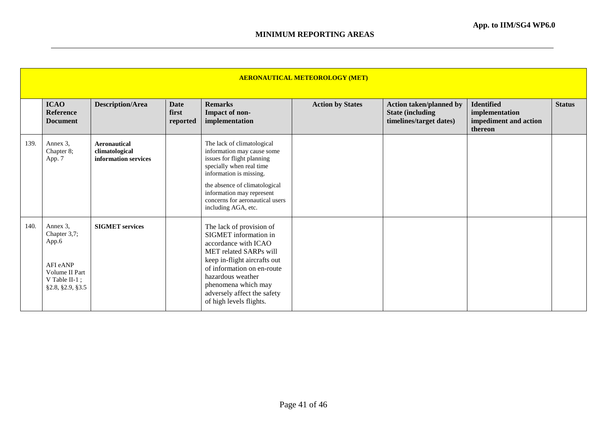|      | <b>AERONAUTICAL METEOROLOGY (MET)</b>                                                                    |                                                               |                                  |                                                                                                                                                                                                                                                                         |                         |                                                                                       |                                                                         |               |  |  |  |  |
|------|----------------------------------------------------------------------------------------------------------|---------------------------------------------------------------|----------------------------------|-------------------------------------------------------------------------------------------------------------------------------------------------------------------------------------------------------------------------------------------------------------------------|-------------------------|---------------------------------------------------------------------------------------|-------------------------------------------------------------------------|---------------|--|--|--|--|
|      | <b>ICAO</b><br><b>Reference</b><br><b>Document</b>                                                       | <b>Description/Area</b>                                       | <b>Date</b><br>first<br>reported | <b>Remarks</b><br>Impact of non-<br>implementation                                                                                                                                                                                                                      | <b>Action by States</b> | <b>Action taken/planned by</b><br><b>State (including)</b><br>timelines/target dates) | <b>Identified</b><br>implementation<br>impediment and action<br>thereon | <b>Status</b> |  |  |  |  |
| 139. | Annex 3,<br>Chapter 8;<br>App. 7                                                                         | <b>Aeronautical</b><br>climatological<br>information services |                                  | The lack of climatological<br>information may cause some<br>issues for flight planning<br>specially when real time<br>information is missing.<br>the absence of climatological<br>information may represent<br>concerns for aeronautical users<br>including AGA, etc.   |                         |                                                                                       |                                                                         |               |  |  |  |  |
| 140. | Annex 3,<br>Chapter 3,7;<br>App.6<br>AFI eANP<br>Volume II Part<br>V Table II- $1$ ;<br>§2.8, §2.9, §3.5 | <b>SIGMET</b> services                                        |                                  | The lack of provision of<br>SIGMET information in<br>accordance with ICAO<br>MET related SARPs will<br>keep in-flight aircrafts out<br>of information on en-route<br>hazardous weather<br>phenomena which may<br>adversely affect the safety<br>of high levels flights. |                         |                                                                                       |                                                                         |               |  |  |  |  |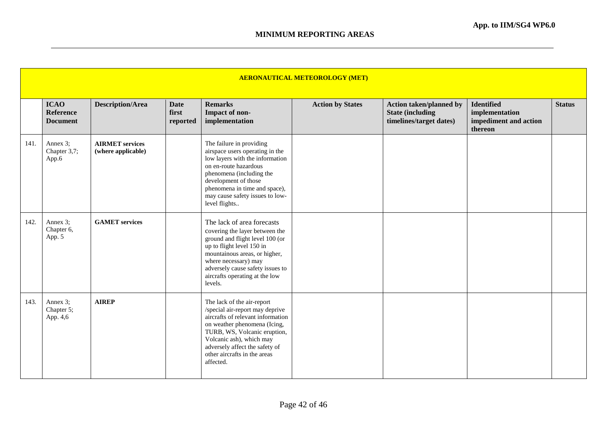|      | <b>AERONAUTICAL METEOROLOGY (MET)</b>              |                                              |                                  |                                                                                                                                                                                                                                                                               |                         |                                                                                       |                                                                         |               |  |  |
|------|----------------------------------------------------|----------------------------------------------|----------------------------------|-------------------------------------------------------------------------------------------------------------------------------------------------------------------------------------------------------------------------------------------------------------------------------|-------------------------|---------------------------------------------------------------------------------------|-------------------------------------------------------------------------|---------------|--|--|
|      | <b>ICAO</b><br><b>Reference</b><br><b>Document</b> | <b>Description/Area</b>                      | <b>Date</b><br>first<br>reported | <b>Remarks</b><br>Impact of non-<br>implementation                                                                                                                                                                                                                            | <b>Action by States</b> | <b>Action taken/planned by</b><br><b>State (including)</b><br>timelines/target dates) | <b>Identified</b><br>implementation<br>impediment and action<br>thereon | <b>Status</b> |  |  |
| 141. | Annex 3;<br>Chapter 3,7;<br>App.6                  | <b>AIRMET</b> services<br>(where applicable) |                                  | The failure in providing<br>airspace users operating in the<br>low layers with the information<br>on en-route hazardous<br>phenomena (including the<br>development of those<br>phenomena in time and space),<br>may cause safety issues to low-<br>level flights              |                         |                                                                                       |                                                                         |               |  |  |
| 142. | Annex 3;<br>Chapter 6,<br>App. 5                   | <b>GAMET</b> services                        |                                  | The lack of area forecasts<br>covering the layer between the<br>ground and flight level 100 (or<br>up to flight level 150 in<br>mountainous areas, or higher,<br>where necessary) may<br>adversely cause safety issues to<br>aircrafts operating at the low<br>levels.        |                         |                                                                                       |                                                                         |               |  |  |
| 143. | Annex 3;<br>Chapter 5;<br>App. 4,6                 | <b>AIREP</b>                                 |                                  | The lack of the air-report<br>/special air-report may deprive<br>aircrafts of relevant information<br>on weather phenomena (Icing,<br>TURB, WS, Volcanic eruption,<br>Volcanic ash), which may<br>adversely affect the safety of<br>other aircrafts in the areas<br>affected. |                         |                                                                                       |                                                                         |               |  |  |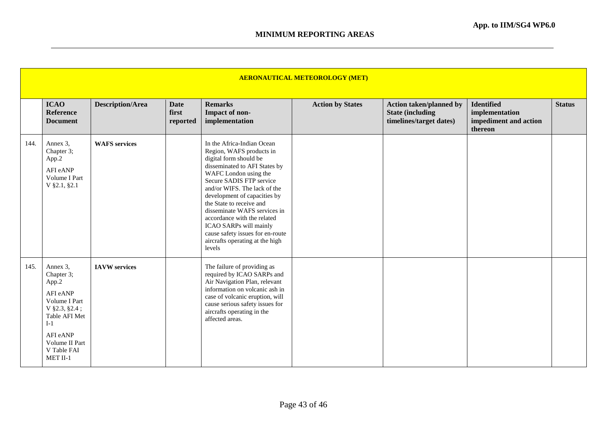|      | <b>AERONAUTICAL METEOROLOGY (MET)</b>                                                                                                                              |                         |                                  |                                                                                                                                                                                                                                                                                                                                                                                                                                              |                         |                                                                                       |                                                                         |               |  |  |  |  |
|------|--------------------------------------------------------------------------------------------------------------------------------------------------------------------|-------------------------|----------------------------------|----------------------------------------------------------------------------------------------------------------------------------------------------------------------------------------------------------------------------------------------------------------------------------------------------------------------------------------------------------------------------------------------------------------------------------------------|-------------------------|---------------------------------------------------------------------------------------|-------------------------------------------------------------------------|---------------|--|--|--|--|
|      | <b>ICAO</b><br><b>Reference</b><br><b>Document</b>                                                                                                                 | <b>Description/Area</b> | <b>Date</b><br>first<br>reported | <b>Remarks</b><br>Impact of non-<br>implementation                                                                                                                                                                                                                                                                                                                                                                                           | <b>Action by States</b> | <b>Action taken/planned by</b><br><b>State (including)</b><br>timelines/target dates) | <b>Identified</b><br>implementation<br>impediment and action<br>thereon | <b>Status</b> |  |  |  |  |
| 144. | Annex 3,<br>Chapter 3;<br>App.2<br>AFI eANP<br>Volume I Part<br>V §2.1, §2.1                                                                                       | <b>WAFS</b> services    |                                  | In the Africa-Indian Ocean<br>Region, WAFS products in<br>digital form should be<br>disseminated to AFI States by<br>WAFC London using the<br>Secure SADIS FTP service<br>and/or WIFS. The lack of the<br>development of capacities by<br>the State to receive and<br>disseminate WAFS services in<br>accordance with the related<br>ICAO SARPs will mainly<br>cause safety issues for en-route<br>aircrafts operating at the high<br>levels |                         |                                                                                       |                                                                         |               |  |  |  |  |
| 145. | Annex 3,<br>Chapter 3;<br>App.2<br>AFI eANP<br>Volume I Part<br>$V$ §2.3, §2.4;<br>Table AFI Met<br>$I-1$<br>AFI eANP<br>Volume II Part<br>V Table FAI<br>MET II-1 | <b>IAVW</b> services    |                                  | The failure of providing as<br>required by ICAO SARPs and<br>Air Navigation Plan, relevant<br>information on volcanic ash in<br>case of volcanic eruption, will<br>cause serious safety issues for<br>aircrafts operating in the<br>affected areas.                                                                                                                                                                                          |                         |                                                                                       |                                                                         |               |  |  |  |  |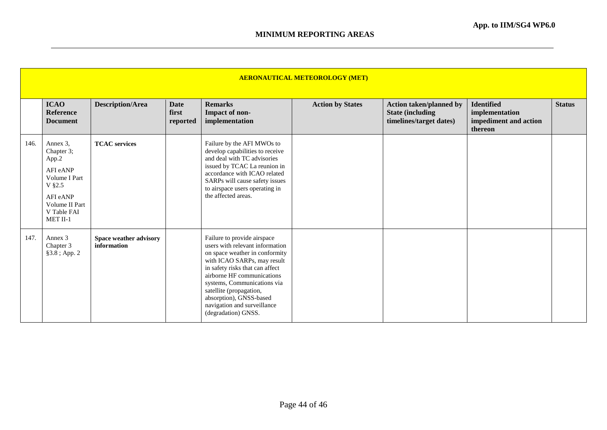|      | <b>AERONAUTICAL METEOROLOGY (MET)</b>                                                                                           |                                       |                                  |                                                                                                                                                                                                                                                                                                                                             |                         |                                                                                       |                                                                         |               |  |  |  |  |
|------|---------------------------------------------------------------------------------------------------------------------------------|---------------------------------------|----------------------------------|---------------------------------------------------------------------------------------------------------------------------------------------------------------------------------------------------------------------------------------------------------------------------------------------------------------------------------------------|-------------------------|---------------------------------------------------------------------------------------|-------------------------------------------------------------------------|---------------|--|--|--|--|
|      | <b>ICAO</b><br><b>Reference</b><br><b>Document</b>                                                                              | <b>Description/Area</b>               | <b>Date</b><br>first<br>reported | <b>Remarks</b><br>Impact of non-<br>implementation                                                                                                                                                                                                                                                                                          | <b>Action by States</b> | <b>Action taken/planned by</b><br><b>State (including)</b><br>timelines/target dates) | <b>Identified</b><br>implementation<br>impediment and action<br>thereon | <b>Status</b> |  |  |  |  |
| 146. | Annex 3.<br>Chapter 3;<br>App.2<br>AFI eANP<br>Volume I Part<br>V §2.5<br>AFI eANP<br>Volume II Part<br>V Table FAI<br>MET II-1 | <b>TCAC</b> services                  |                                  | Failure by the AFI MWOs to<br>develop capabilities to receive<br>and deal with TC advisories<br>issued by TCAC La reunion in<br>accordance with ICAO related<br>SARPs will cause safety issues<br>to airspace users operating in<br>the affected areas.                                                                                     |                         |                                                                                       |                                                                         |               |  |  |  |  |
| 147. | Annex 3<br>Chapter 3<br>§3.8 ; App. 2                                                                                           | Space weather advisory<br>information |                                  | Failure to provide airspace<br>users with relevant information<br>on space weather in conformity<br>with ICAO SARPs, may result<br>in safety risks that can affect<br>airborne HF communications<br>systems, Communications via<br>satellite (propagation,<br>absorption), GNSS-based<br>navigation and surveillance<br>(degradation) GNSS. |                         |                                                                                       |                                                                         |               |  |  |  |  |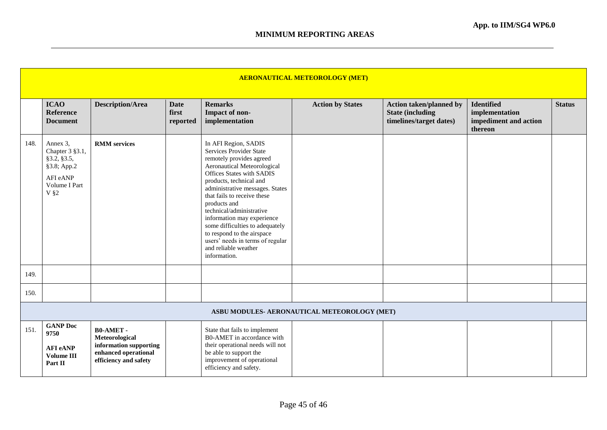|      | <b>AERONAUTICAL METEOROLOGY (MET)</b>                                                            |                                                                                                              |                                  |                                                                                                                                                                                                                                                                                                                                                                                                                                                                                       |                                              |                                                                                      |                                                                         |               |  |  |  |
|------|--------------------------------------------------------------------------------------------------|--------------------------------------------------------------------------------------------------------------|----------------------------------|---------------------------------------------------------------------------------------------------------------------------------------------------------------------------------------------------------------------------------------------------------------------------------------------------------------------------------------------------------------------------------------------------------------------------------------------------------------------------------------|----------------------------------------------|--------------------------------------------------------------------------------------|-------------------------------------------------------------------------|---------------|--|--|--|
|      | <b>ICAO</b><br><b>Reference</b><br><b>Document</b>                                               | <b>Description/Area</b>                                                                                      | <b>Date</b><br>first<br>reported | <b>Remarks</b><br>Impact of non-<br>implementation                                                                                                                                                                                                                                                                                                                                                                                                                                    | <b>Action by States</b>                      | <b>Action taken/planned by</b><br><b>State (including</b><br>timelines/target dates) | <b>Identified</b><br>implementation<br>impediment and action<br>thereon | <b>Status</b> |  |  |  |
| 148. | Annex 3,<br>Chapter 3 §3.1,<br>§3.2, §3.5,<br>§3.8; App.2<br>AFI eANP<br>Volume I Part<br>$V$ §2 | <b>RMM</b> services                                                                                          |                                  | In AFI Region, SADIS<br><b>Services Provider State</b><br>remotely provides agreed<br>Aeronautical Meteorological<br><b>Offices States with SADIS</b><br>products, technical and<br>administrative messages. States<br>that fails to receive these<br>products and<br>technical/administrative<br>information may experience<br>some difficulties to adequately<br>to respond to the airspace<br>users <sup>7</sup> needs in terms of regular<br>and reliable weather<br>information. |                                              |                                                                                      |                                                                         |               |  |  |  |
| 149. |                                                                                                  |                                                                                                              |                                  |                                                                                                                                                                                                                                                                                                                                                                                                                                                                                       |                                              |                                                                                      |                                                                         |               |  |  |  |
| 150. |                                                                                                  |                                                                                                              |                                  |                                                                                                                                                                                                                                                                                                                                                                                                                                                                                       |                                              |                                                                                      |                                                                         |               |  |  |  |
|      |                                                                                                  |                                                                                                              |                                  |                                                                                                                                                                                                                                                                                                                                                                                                                                                                                       | ASBU MODULES- AERONAUTICAL METEOROLOGY (MET) |                                                                                      |                                                                         |               |  |  |  |
| 151. | <b>GANP Doc</b><br>9750<br><b>AFI</b> eANP<br><b>Volume III</b><br>Part II                       | <b>B0-AMET-</b><br>Meteorological<br>information supporting<br>enhanced operational<br>efficiency and safety |                                  | State that fails to implement<br>B0-AMET in accordance with<br>their operational needs will not<br>be able to support the<br>improvement of operational<br>efficiency and safety.                                                                                                                                                                                                                                                                                                     |                                              |                                                                                      |                                                                         |               |  |  |  |